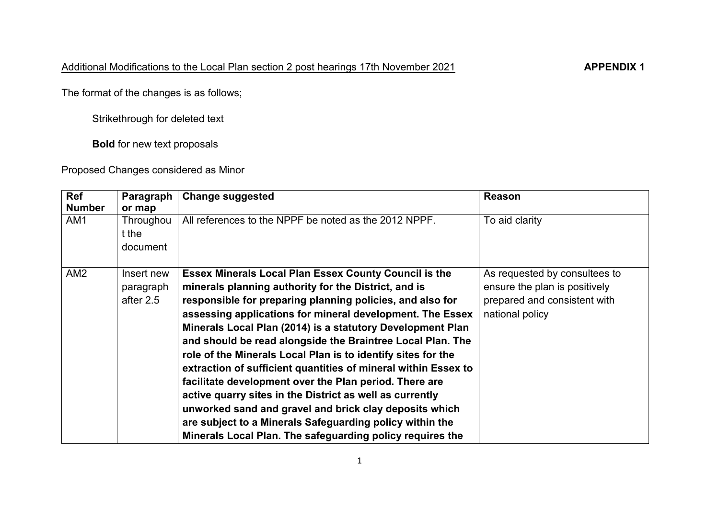The format of the changes is as follows;

Strikethrough for deleted text

**Bold** for new text proposals

## Proposed Changes considered as Minor

| <b>Ref</b><br><b>Number</b> | Paragraph<br>or map            | <b>Change suggested</b>                                        | <b>Reason</b>                 |
|-----------------------------|--------------------------------|----------------------------------------------------------------|-------------------------------|
| AM <sub>1</sub>             | Throughou<br>t the<br>document | All references to the NPPF be noted as the 2012 NPPF.          | To aid clarity                |
| AM <sub>2</sub>             | Insert new                     | <b>Essex Minerals Local Plan Essex County Council is the</b>   | As requested by consultees to |
|                             | paragraph                      | minerals planning authority for the District, and is           | ensure the plan is positively |
|                             | after 2.5                      | responsible for preparing planning policies, and also for      | prepared and consistent with  |
|                             |                                | assessing applications for mineral development. The Essex      | national policy               |
|                             |                                | Minerals Local Plan (2014) is a statutory Development Plan     |                               |
|                             |                                | and should be read alongside the Braintree Local Plan. The     |                               |
|                             |                                | role of the Minerals Local Plan is to identify sites for the   |                               |
|                             |                                | extraction of sufficient quantities of mineral within Essex to |                               |
|                             |                                | facilitate development over the Plan period. There are         |                               |
|                             |                                | active quarry sites in the District as well as currently       |                               |
|                             |                                | unworked sand and gravel and brick clay deposits which         |                               |
|                             |                                | are subject to a Minerals Safeguarding policy within the       |                               |
|                             |                                | Minerals Local Plan. The safeguarding policy requires the      |                               |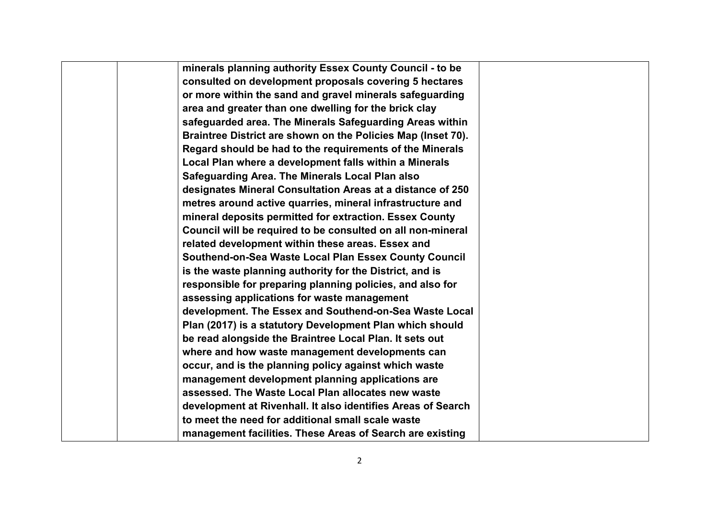| minerals planning authority Essex County Council - to be     |  |
|--------------------------------------------------------------|--|
| consulted on development proposals covering 5 hectares       |  |
| or more within the sand and gravel minerals safeguarding     |  |
| area and greater than one dwelling for the brick clay        |  |
| safeguarded area. The Minerals Safeguarding Areas within     |  |
| Braintree District are shown on the Policies Map (Inset 70). |  |
| Regard should be had to the requirements of the Minerals     |  |
| Local Plan where a development falls within a Minerals       |  |
| Safeguarding Area. The Minerals Local Plan also              |  |
| designates Mineral Consultation Areas at a distance of 250   |  |
| metres around active quarries, mineral infrastructure and    |  |
| mineral deposits permitted for extraction. Essex County      |  |
| Council will be required to be consulted on all non-mineral  |  |
| related development within these areas. Essex and            |  |
| Southend-on-Sea Waste Local Plan Essex County Council        |  |
| is the waste planning authority for the District, and is     |  |
| responsible for preparing planning policies, and also for    |  |
| assessing applications for waste management                  |  |
| development. The Essex and Southend-on-Sea Waste Local       |  |
| Plan (2017) is a statutory Development Plan which should     |  |
| be read alongside the Braintree Local Plan. It sets out      |  |
| where and how waste management developments can              |  |
| occur, and is the planning policy against which waste        |  |
| management development planning applications are             |  |
| assessed. The Waste Local Plan allocates new waste           |  |
| development at Rivenhall. It also identifies Areas of Search |  |
| to meet the need for additional small scale waste            |  |
| management facilities. These Areas of Search are existing    |  |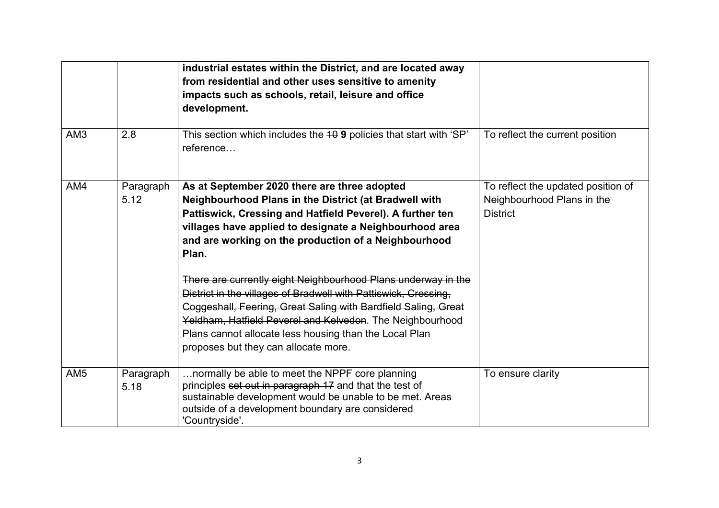|                 |                   | industrial estates within the District, and are located away<br>from residential and other uses sensitive to amenity<br>impacts such as schools, retail, leisure and office<br>development.                                                                                                                                                                                                                                                                                                                                                                                                                                                                         |                                                                                     |
|-----------------|-------------------|---------------------------------------------------------------------------------------------------------------------------------------------------------------------------------------------------------------------------------------------------------------------------------------------------------------------------------------------------------------------------------------------------------------------------------------------------------------------------------------------------------------------------------------------------------------------------------------------------------------------------------------------------------------------|-------------------------------------------------------------------------------------|
| AM <sub>3</sub> | 2.8               | This section which includes the 40 9 policies that start with 'SP'<br>reference                                                                                                                                                                                                                                                                                                                                                                                                                                                                                                                                                                                     | To reflect the current position                                                     |
| AM4             | Paragraph<br>5.12 | As at September 2020 there are three adopted<br>Neighbourhood Plans in the District (at Bradwell with<br>Pattiswick, Cressing and Hatfield Peverel). A further ten<br>villages have applied to designate a Neighbourhood area<br>and are working on the production of a Neighbourhood<br>Plan.<br>There are currently eight Neighbourhood Plans underway in the<br>District in the villages of Bradwell with Pattiswick, Cressing,<br>Coggeshall, Feering, Great Saling with Bardfield Saling, Great<br>Yeldham, Hatfield Peverel and Kelvedon. The Neighbourhood<br>Plans cannot allocate less housing than the Local Plan<br>proposes but they can allocate more. | To reflect the updated position of<br>Neighbourhood Plans in the<br><b>District</b> |
| AM <sub>5</sub> | Paragraph<br>5.18 | normally be able to meet the NPPF core planning<br>principles set out in paragraph 17 and that the test of<br>sustainable development would be unable to be met. Areas<br>outside of a development boundary are considered<br>'Countryside'.                                                                                                                                                                                                                                                                                                                                                                                                                        | To ensure clarity                                                                   |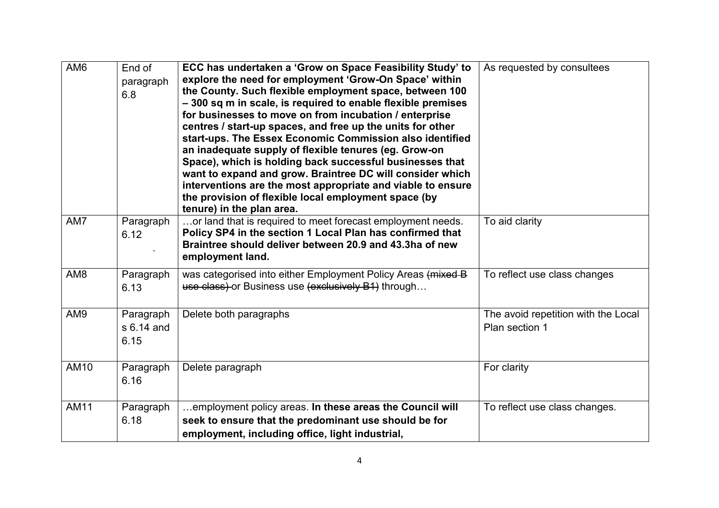| AM <sub>6</sub> | End of<br>paragraph<br>6.8      | ECC has undertaken a 'Grow on Space Feasibility Study' to<br>explore the need for employment 'Grow-On Space' within<br>the County. Such flexible employment space, between 100<br>-300 sq m in scale, is required to enable flexible premises<br>for businesses to move on from incubation / enterprise<br>centres / start-up spaces, and free up the units for other<br>start-ups. The Essex Economic Commission also identified<br>an inadequate supply of flexible tenures (eg. Grow-on<br>Space), which is holding back successful businesses that<br>want to expand and grow. Braintree DC will consider which<br>interventions are the most appropriate and viable to ensure<br>the provision of flexible local employment space (by<br>tenure) in the plan area. | As requested by consultees                            |
|-----------------|---------------------------------|-------------------------------------------------------------------------------------------------------------------------------------------------------------------------------------------------------------------------------------------------------------------------------------------------------------------------------------------------------------------------------------------------------------------------------------------------------------------------------------------------------------------------------------------------------------------------------------------------------------------------------------------------------------------------------------------------------------------------------------------------------------------------|-------------------------------------------------------|
| AM7             | Paragraph<br>6.12               | or land that is required to meet forecast employment needs.<br>Policy SP4 in the section 1 Local Plan has confirmed that<br>Braintree should deliver between 20.9 and 43.3ha of new<br>employment land.                                                                                                                                                                                                                                                                                                                                                                                                                                                                                                                                                                 | To aid clarity                                        |
| AM <sub>8</sub> | Paragraph<br>6.13               | was categorised into either Employment Policy Areas (mixed B<br>use class) or Business use (exclusively B1) through                                                                                                                                                                                                                                                                                                                                                                                                                                                                                                                                                                                                                                                     | To reflect use class changes                          |
| AM9             | Paragraph<br>s 6.14 and<br>6.15 | Delete both paragraphs                                                                                                                                                                                                                                                                                                                                                                                                                                                                                                                                                                                                                                                                                                                                                  | The avoid repetition with the Local<br>Plan section 1 |
| AM10            | Paragraph<br>6.16               | Delete paragraph                                                                                                                                                                                                                                                                                                                                                                                                                                                                                                                                                                                                                                                                                                                                                        | For clarity                                           |
| <b>AM11</b>     | Paragraph<br>6.18               | employment policy areas. In these areas the Council will<br>seek to ensure that the predominant use should be for<br>employment, including office, light industrial,                                                                                                                                                                                                                                                                                                                                                                                                                                                                                                                                                                                                    | To reflect use class changes.                         |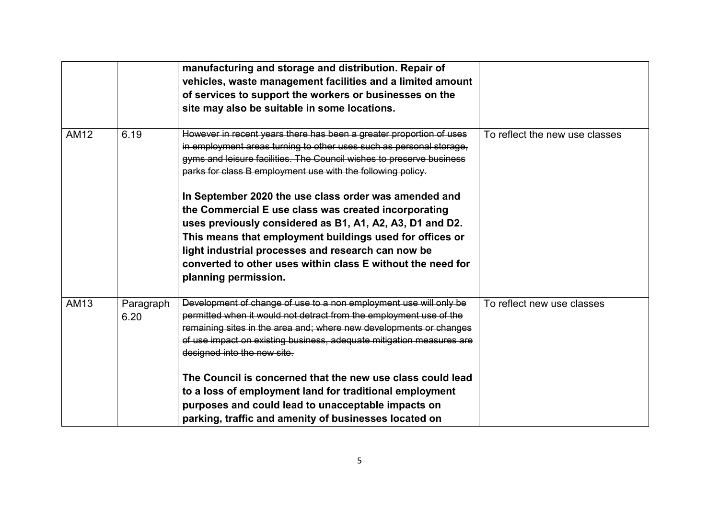|             |                   | manufacturing and storage and distribution. Repair of<br>vehicles, waste management facilities and a limited amount<br>of services to support the workers or businesses on the<br>site may also be suitable in some locations.                                                                                                                                                                                                                                                                                                                                                                                                                                          |                                |
|-------------|-------------------|-------------------------------------------------------------------------------------------------------------------------------------------------------------------------------------------------------------------------------------------------------------------------------------------------------------------------------------------------------------------------------------------------------------------------------------------------------------------------------------------------------------------------------------------------------------------------------------------------------------------------------------------------------------------------|--------------------------------|
| <b>AM12</b> | 6.19              | However in recent years there has been a greater proportion of uses<br>in employment areas turning to other uses such as personal storage,<br>gyms and leisure facilities. The Council wishes to preserve business<br>parks for class B employment use with the following policy.<br>In September 2020 the use class order was amended and<br>the Commercial E use class was created incorporating<br>uses previously considered as B1, A1, A2, A3, D1 and D2.<br>This means that employment buildings used for offices or<br>light industrial processes and research can now be<br>converted to other uses within class E without the need for<br>planning permission. | To reflect the new use classes |
| AM13        | Paragraph<br>6.20 | Development of change of use to a non employment use will only be<br>permitted when it would not detract from the employment use of the<br>remaining sites in the area and; where new developments or changes<br>of use impact on existing business, adequate mitigation measures are<br>designed into the new site.<br>The Council is concerned that the new use class could lead<br>to a loss of employment land for traditional employment<br>purposes and could lead to unacceptable impacts on<br>parking, traffic and amenity of businesses located on                                                                                                            | To reflect new use classes     |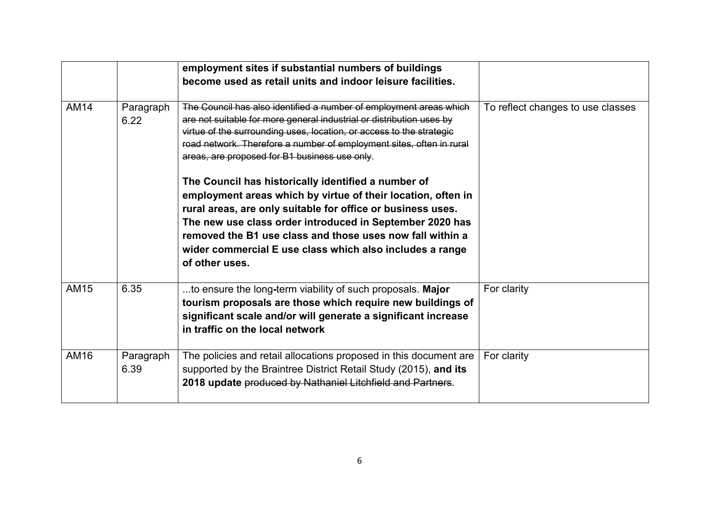|      |                   | employment sites if substantial numbers of buildings<br>become used as retail units and indoor leisure facilities.                                                                                                                                                                                                                                                                        |                                   |
|------|-------------------|-------------------------------------------------------------------------------------------------------------------------------------------------------------------------------------------------------------------------------------------------------------------------------------------------------------------------------------------------------------------------------------------|-----------------------------------|
| AM14 | Paragraph<br>6.22 | The Council has also identified a number of employment areas which<br>are not suitable for more general industrial or distribution uses by<br>virtue of the surrounding uses, location, or access to the strategic<br>road network. Therefore a number of employment sites, often in rural<br>areas, are proposed for B1 business use only.                                               | To reflect changes to use classes |
|      |                   | The Council has historically identified a number of<br>employment areas which by virtue of their location, often in<br>rural areas, are only suitable for office or business uses.<br>The new use class order introduced in September 2020 has<br>removed the B1 use class and those uses now fall within a<br>wider commercial E use class which also includes a range<br>of other uses. |                                   |
| AM15 | 6.35              | to ensure the long-term viability of such proposals. Major<br>tourism proposals are those which require new buildings of<br>significant scale and/or will generate a significant increase<br>in traffic on the local network                                                                                                                                                              | For clarity                       |
| AM16 | Paragraph<br>6.39 | The policies and retail allocations proposed in this document are<br>supported by the Braintree District Retail Study (2015), and its<br>2018 update produced by Nathaniel Litchfield and Partners.                                                                                                                                                                                       | For clarity                       |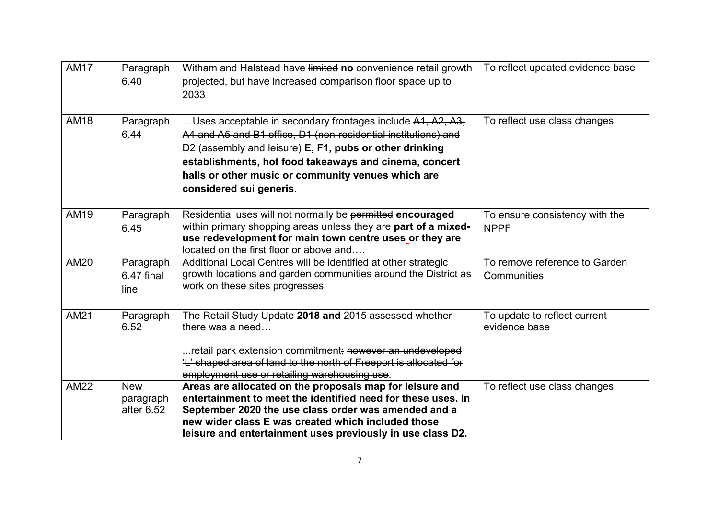| <b>AM17</b> | Paragraph<br>6.40                     | Witham and Halstead have limited no convenience retail growth<br>projected, but have increased comparison floor space up to<br>2033                                                                                                                                                                                                | To reflect updated evidence base              |
|-------------|---------------------------------------|------------------------------------------------------------------------------------------------------------------------------------------------------------------------------------------------------------------------------------------------------------------------------------------------------------------------------------|-----------------------------------------------|
| <b>AM18</b> | Paragraph<br>6.44                     | Uses acceptable in secondary frontages include A1, A2, A3,<br>A4 and A5 and B1 office, D1 (non-residential institutions) and<br>D2 (assembly and leisure) E, F1, pubs or other drinking<br>establishments, hot food takeaways and cinema, concert<br>halls or other music or community venues which are<br>considered sui generis. | To reflect use class changes                  |
| AM19        | Paragraph<br>6.45                     | Residential uses will not normally be permitted encouraged<br>within primary shopping areas unless they are part of a mixed-<br>use redevelopment for main town centre uses or they are<br>located on the first floor or above and                                                                                                 | To ensure consistency with the<br><b>NPPF</b> |
| <b>AM20</b> | Paragraph<br>6.47 final<br>line       | Additional Local Centres will be identified at other strategic<br>growth locations and garden communities around the District as<br>work on these sites progresses                                                                                                                                                                 | To remove reference to Garden<br>Communities  |
| AM21        | Paragraph<br>6.52                     | The Retail Study Update 2018 and 2015 assessed whether<br>there was a need<br>retail park extension commitment; however an undeveloped<br>'L' shaped area of land to the north of Freeport is allocated for<br>employment use or retailing warehousing use.                                                                        | To update to reflect current<br>evidence base |
| <b>AM22</b> | <b>New</b><br>paragraph<br>after 6.52 | Areas are allocated on the proposals map for leisure and<br>entertainment to meet the identified need for these uses. In<br>September 2020 the use class order was amended and a<br>new wider class E was created which included those<br>leisure and entertainment uses previously in use class D2.                               | To reflect use class changes                  |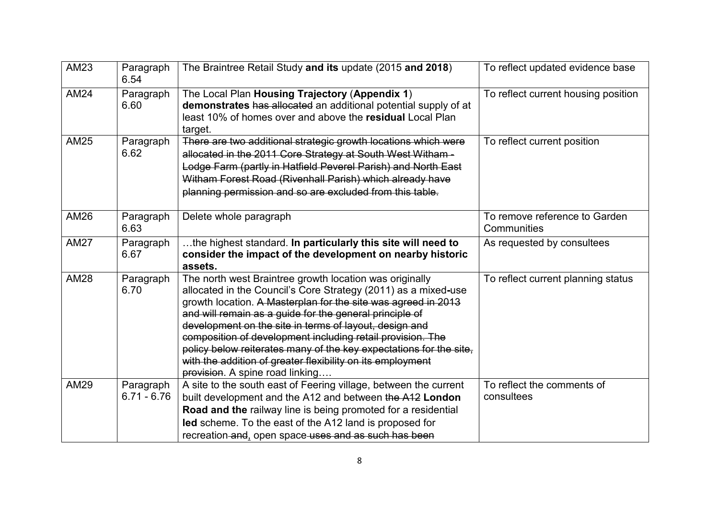| <b>AM23</b> | Paragraph<br>6.54          | The Braintree Retail Study and its update (2015 and 2018)                                                                                                                                                                                                                                                                                                                                                                                                                                                                                            | To reflect updated evidence base             |
|-------------|----------------------------|------------------------------------------------------------------------------------------------------------------------------------------------------------------------------------------------------------------------------------------------------------------------------------------------------------------------------------------------------------------------------------------------------------------------------------------------------------------------------------------------------------------------------------------------------|----------------------------------------------|
| <b>AM24</b> | Paragraph<br>6.60          | The Local Plan Housing Trajectory (Appendix 1)<br>demonstrates has allocated an additional potential supply of at<br>least 10% of homes over and above the residual Local Plan<br>target.                                                                                                                                                                                                                                                                                                                                                            | To reflect current housing position          |
| <b>AM25</b> | Paragraph<br>6.62          | There are two additional strategic growth locations which were<br>allocated in the 2011 Core Strategy at South West Witham-<br>Lodge Farm (partly in Hatfield Peverel Parish) and North East<br>Witham Forest Road (Rivenhall Parish) which already have<br>planning permission and so are excluded from this table.                                                                                                                                                                                                                                 | To reflect current position                  |
| <b>AM26</b> | Paragraph<br>6.63          | Delete whole paragraph                                                                                                                                                                                                                                                                                                                                                                                                                                                                                                                               | To remove reference to Garden<br>Communities |
| <b>AM27</b> | Paragraph<br>6.67          | the highest standard. In particularly this site will need to<br>consider the impact of the development on nearby historic<br>assets.                                                                                                                                                                                                                                                                                                                                                                                                                 | As requested by consultees                   |
| <b>AM28</b> | Paragraph<br>6.70          | The north west Braintree growth location was originally<br>allocated in the Council's Core Strategy (2011) as a mixed-use<br>growth location. A Masterplan for the site was agreed in 2013<br>and will remain as a guide for the general principle of<br>development on the site in terms of layout, design and<br>composition of development including retail provision. The<br>policy below reiterates many of the key expectations for the site,<br>with the addition of greater flexibility on its employment<br>provision. A spine road linking | To reflect current planning status           |
| <b>AM29</b> | Paragraph<br>$6.71 - 6.76$ | A site to the south east of Feering village, between the current<br>built development and the A12 and between the A12 London<br>Road and the railway line is being promoted for a residential<br>led scheme. To the east of the A12 land is proposed for<br>recreation and, open space uses and as such has been                                                                                                                                                                                                                                     | To reflect the comments of<br>consultees     |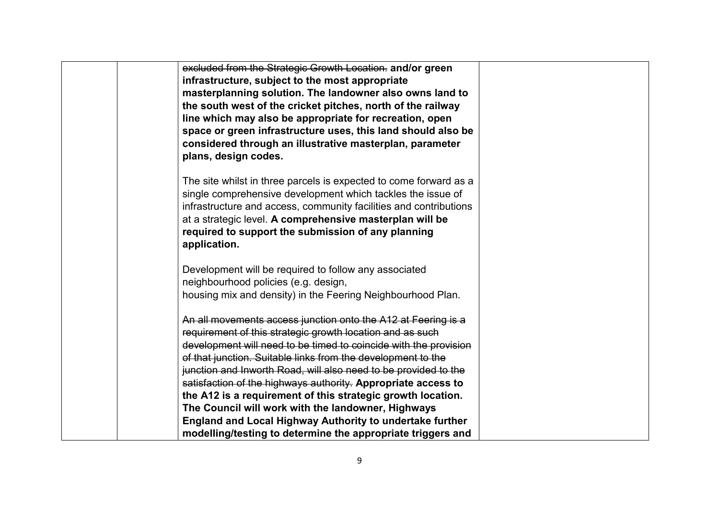| excluded from the Strategic Growth Location. and/or green         |  |
|-------------------------------------------------------------------|--|
| infrastructure, subject to the most appropriate                   |  |
| masterplanning solution. The landowner also owns land to          |  |
| the south west of the cricket pitches, north of the railway       |  |
| line which may also be appropriate for recreation, open           |  |
| space or green infrastructure uses, this land should also be      |  |
| considered through an illustrative masterplan, parameter          |  |
| plans, design codes.                                              |  |
|                                                                   |  |
| The site whilst in three parcels is expected to come forward as a |  |
| single comprehensive development which tackles the issue of       |  |
| infrastructure and access, community facilities and contributions |  |
| at a strategic level. A comprehensive masterplan will be          |  |
| required to support the submission of any planning                |  |
| application.                                                      |  |
| Development will be required to follow any associated             |  |
| neighbourhood policies (e.g. design,                              |  |
| housing mix and density) in the Feering Neighbourhood Plan.       |  |
|                                                                   |  |
| An all movements access junction onto the A12 at Feering is a     |  |
| requirement of this strategic growth location and as such         |  |
| development will need to be timed to coincide with the provision  |  |
| of that junction. Suitable links from the development to the      |  |
| junction and Inworth Road, will also need to be provided to the   |  |
| satisfaction of the highways authority. Appropriate access to     |  |
| the A12 is a requirement of this strategic growth location.       |  |
| The Council will work with the landowner, Highways                |  |
| England and Local Highway Authority to undertake further          |  |
| modelling/testing to determine the appropriate triggers and       |  |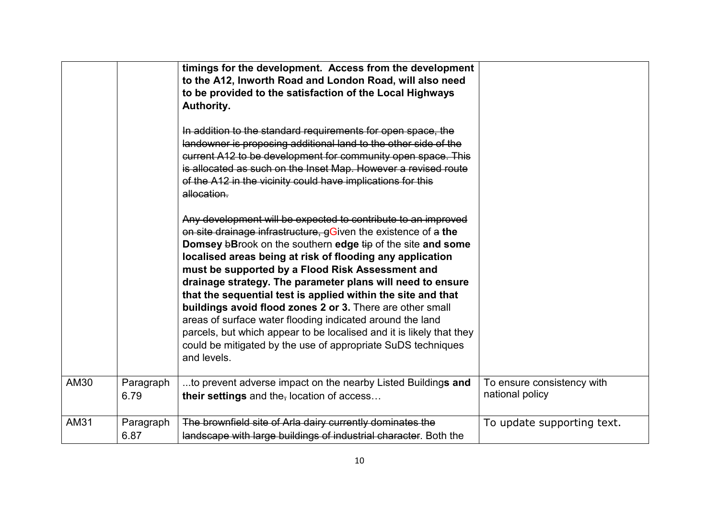|      |                   | timings for the development. Access from the development<br>to the A12, Inworth Road and London Road, will also need<br>to be provided to the satisfaction of the Local Highways<br>Authority.<br>In addition to the standard requirements for open space, the<br>landowner is proposing additional land to the other side of the<br>current A12 to be development for community open space. This<br>is allocated as such on the Inset Map. However a revised route<br>of the A12 in the vicinity could have implications for this<br>allocation.<br>Any development will be expected to contribute to an improved<br>on site drainage infrastructure, gGiven the existence of a the<br>Domsey bBrook on the southern edge tip of the site and some<br>localised areas being at risk of flooding any application<br>must be supported by a Flood Risk Assessment and<br>drainage strategy. The parameter plans will need to ensure<br>that the sequential test is applied within the site and that<br>buildings avoid flood zones 2 or 3. There are other small<br>areas of surface water flooding indicated around the land<br>parcels, but which appear to be localised and it is likely that they<br>could be mitigated by the use of appropriate SuDS techniques<br>and levels. |                                               |
|------|-------------------|-------------------------------------------------------------------------------------------------------------------------------------------------------------------------------------------------------------------------------------------------------------------------------------------------------------------------------------------------------------------------------------------------------------------------------------------------------------------------------------------------------------------------------------------------------------------------------------------------------------------------------------------------------------------------------------------------------------------------------------------------------------------------------------------------------------------------------------------------------------------------------------------------------------------------------------------------------------------------------------------------------------------------------------------------------------------------------------------------------------------------------------------------------------------------------------------------------------------------------------------------------------------------------------|-----------------------------------------------|
| AM30 | Paragraph<br>6.79 | to prevent adverse impact on the nearby Listed Buildings and<br>their settings and the, location of access                                                                                                                                                                                                                                                                                                                                                                                                                                                                                                                                                                                                                                                                                                                                                                                                                                                                                                                                                                                                                                                                                                                                                                          | To ensure consistency with<br>national policy |
| AM31 | Paragraph<br>6.87 | The brownfield site of Arla dairy currently dominates the<br>landscape with large buildings of industrial character. Both the                                                                                                                                                                                                                                                                                                                                                                                                                                                                                                                                                                                                                                                                                                                                                                                                                                                                                                                                                                                                                                                                                                                                                       | To update supporting text.                    |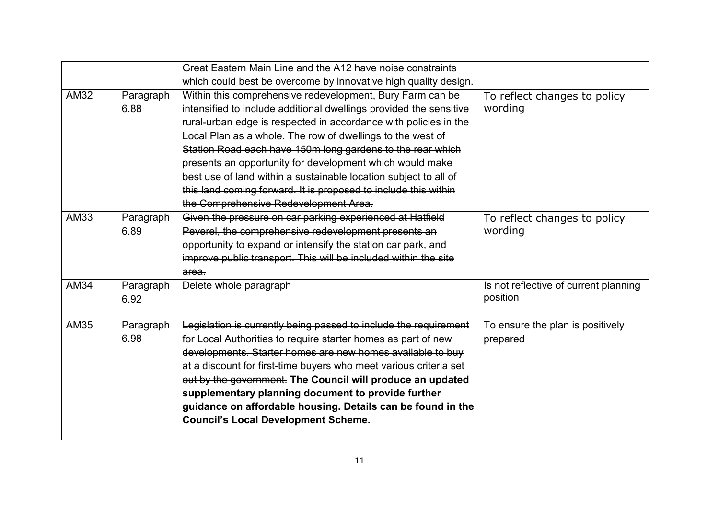|             |           | Great Eastern Main Line and the A12 have noise constraints         |                                       |
|-------------|-----------|--------------------------------------------------------------------|---------------------------------------|
|             |           | which could best be overcome by innovative high quality design.    |                                       |
| <b>AM32</b> | Paragraph | Within this comprehensive redevelopment, Bury Farm can be          | To reflect changes to policy          |
|             | 6.88      | intensified to include additional dwellings provided the sensitive | wording                               |
|             |           | rural-urban edge is respected in accordance with policies in the   |                                       |
|             |           | Local Plan as a whole. The row of dwellings to the west of         |                                       |
|             |           | Station Road each have 150m long gardens to the rear which         |                                       |
|             |           | presents an opportunity for development which would make           |                                       |
|             |           | best use of land within a sustainable location subject to all of   |                                       |
|             |           | this land coming forward. It is proposed to include this within    |                                       |
|             |           | the Comprehensive Redevelopment Area.                              |                                       |
| AM33        | Paragraph | Given the pressure on car parking experienced at Hatfield          | To reflect changes to policy          |
|             | 6.89      | Peverel, the comprehensive redevelopment presents an               | wording                               |
|             |           | opportunity to expand or intensify the station car park, and       |                                       |
|             |           | improve public transport. This will be included within the site    |                                       |
|             |           | area.                                                              |                                       |
| <b>AM34</b> | Paragraph | Delete whole paragraph                                             | Is not reflective of current planning |
|             | 6.92      |                                                                    | position                              |
|             |           |                                                                    |                                       |
| <b>AM35</b> | Paragraph | Legislation is currently being passed to include the requirement   | To ensure the plan is positively      |
|             | 6.98      | for Local Authorities to require starter homes as part of new      | prepared                              |
|             |           | developments. Starter homes are new homes available to buy         |                                       |
|             |           | at a discount for first-time buyers who meet various criteria set  |                                       |
|             |           | out by the government. The Council will produce an updated         |                                       |
|             |           | supplementary planning document to provide further                 |                                       |
|             |           | guidance on affordable housing. Details can be found in the        |                                       |
|             |           | <b>Council's Local Development Scheme.</b>                         |                                       |
|             |           |                                                                    |                                       |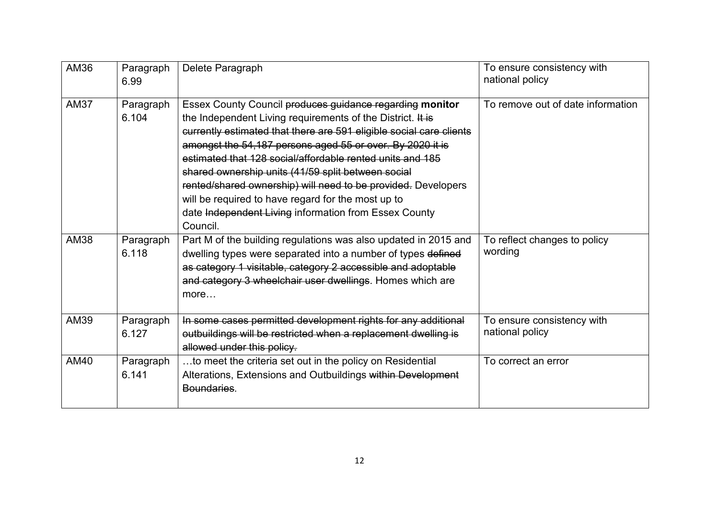| AM36        | Paragraph<br>6.99  | Delete Paragraph                                                                                                                                                                                                                                                                                                                                                                                                                                                                                                                                                          | To ensure consistency with<br>national policy |
|-------------|--------------------|---------------------------------------------------------------------------------------------------------------------------------------------------------------------------------------------------------------------------------------------------------------------------------------------------------------------------------------------------------------------------------------------------------------------------------------------------------------------------------------------------------------------------------------------------------------------------|-----------------------------------------------|
| <b>AM37</b> | Paragraph<br>6.104 | Essex County Council produces guidance regarding monitor<br>the Independent Living requirements of the District. It is<br>currently estimated that there are 591 eligible social care clients<br>amongst the 54,187 persons aged 55 or over. By 2020 it is<br>estimated that 128 social/affordable rented units and 185<br>shared ownership units (41/59 split between social<br>rented/shared ownership) will need to be provided. Developers<br>will be required to have regard for the most up to<br>date Independent Living information from Essex County<br>Council. | To remove out of date information             |
| AM38        | Paragraph<br>6.118 | Part M of the building regulations was also updated in 2015 and<br>dwelling types were separated into a number of types defined<br>as category 1 visitable, category 2 accessible and adoptable<br>and category 3 wheelchair user dwellings. Homes which are<br>more                                                                                                                                                                                                                                                                                                      | To reflect changes to policy<br>wording       |
| AM39        | Paragraph<br>6.127 | In some cases permitted development rights for any additional<br>outbuildings will be restricted when a replacement dwelling is<br>allowed under this policy.                                                                                                                                                                                                                                                                                                                                                                                                             | To ensure consistency with<br>national policy |
| AM40        | Paragraph<br>6.141 | to meet the criteria set out in the policy on Residential<br>Alterations, Extensions and Outbuildings within Development<br>Boundaries.                                                                                                                                                                                                                                                                                                                                                                                                                                   | To correct an error                           |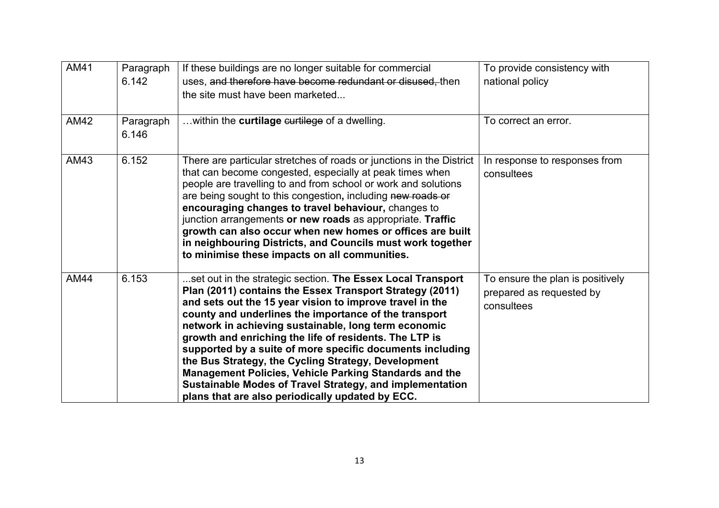| AM41        | Paragraph<br>6.142 | If these buildings are no longer suitable for commercial<br>uses, and therefore have become redundant or disused, then<br>the site must have been marketed                                                                                                                                                                                                                                                                                                                                                                                                                                                                                                   | To provide consistency with<br>national policy                             |
|-------------|--------------------|--------------------------------------------------------------------------------------------------------------------------------------------------------------------------------------------------------------------------------------------------------------------------------------------------------------------------------------------------------------------------------------------------------------------------------------------------------------------------------------------------------------------------------------------------------------------------------------------------------------------------------------------------------------|----------------------------------------------------------------------------|
| <b>AM42</b> | Paragraph<br>6.146 | within the curtilage curtilege of a dwelling.                                                                                                                                                                                                                                                                                                                                                                                                                                                                                                                                                                                                                | To correct an error.                                                       |
| AM43        | 6.152              | There are particular stretches of roads or junctions in the District<br>that can become congested, especially at peak times when<br>people are travelling to and from school or work and solutions<br>are being sought to this congestion, including new roads or<br>encouraging changes to travel behaviour, changes to<br>junction arrangements or new roads as appropriate. Traffic<br>growth can also occur when new homes or offices are built<br>in neighbouring Districts, and Councils must work together<br>to minimise these impacts on all communities.                                                                                           | In response to responses from<br>consultees                                |
| <b>AM44</b> | 6.153              | set out in the strategic section. The Essex Local Transport<br>Plan (2011) contains the Essex Transport Strategy (2011)<br>and sets out the 15 year vision to improve travel in the<br>county and underlines the importance of the transport<br>network in achieving sustainable, long term economic<br>growth and enriching the life of residents. The LTP is<br>supported by a suite of more specific documents including<br>the Bus Strategy, the Cycling Strategy, Development<br>Management Policies, Vehicle Parking Standards and the<br>Sustainable Modes of Travel Strategy, and implementation<br>plans that are also periodically updated by ECC. | To ensure the plan is positively<br>prepared as requested by<br>consultees |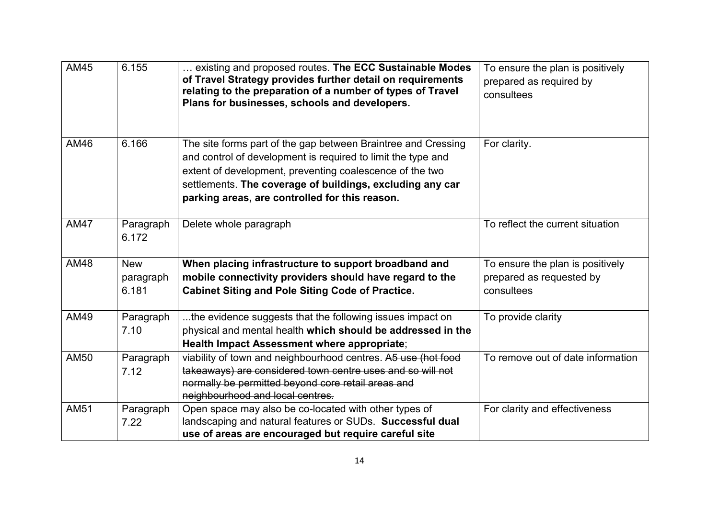| <b>AM45</b> | 6.155                            | existing and proposed routes. The ECC Sustainable Modes<br>of Travel Strategy provides further detail on requirements<br>relating to the preparation of a number of types of Travel<br>Plans for businesses, schools and developers.                                                                     | To ensure the plan is positively<br>prepared as required by<br>consultees  |
|-------------|----------------------------------|----------------------------------------------------------------------------------------------------------------------------------------------------------------------------------------------------------------------------------------------------------------------------------------------------------|----------------------------------------------------------------------------|
| AM46        | 6.166                            | The site forms part of the gap between Braintree and Cressing<br>and control of development is required to limit the type and<br>extent of development, preventing coalescence of the two<br>settlements. The coverage of buildings, excluding any car<br>parking areas, are controlled for this reason. | For clarity.                                                               |
| <b>AM47</b> | Paragraph<br>6.172               | Delete whole paragraph                                                                                                                                                                                                                                                                                   | To reflect the current situation                                           |
| AM48        | <b>New</b><br>paragraph<br>6.181 | When placing infrastructure to support broadband and<br>mobile connectivity providers should have regard to the<br><b>Cabinet Siting and Pole Siting Code of Practice.</b>                                                                                                                               | To ensure the plan is positively<br>prepared as requested by<br>consultees |
| AM49        | Paragraph<br>7.10                | the evidence suggests that the following issues impact on<br>physical and mental health which should be addressed in the<br>Health Impact Assessment where appropriate;                                                                                                                                  | To provide clarity                                                         |
| <b>AM50</b> | Paragraph<br>7.12                | viability of town and neighbourhood centres. A5 use (hot food<br>takeaways) are considered town centre uses and so will not<br>normally be permitted beyond core retail areas and<br>neighbourhood and local centres.                                                                                    | To remove out of date information                                          |
| <b>AM51</b> | Paragraph<br>7.22                | Open space may also be co-located with other types of<br>landscaping and natural features or SUDs. Successful dual<br>use of areas are encouraged but require careful site                                                                                                                               | For clarity and effectiveness                                              |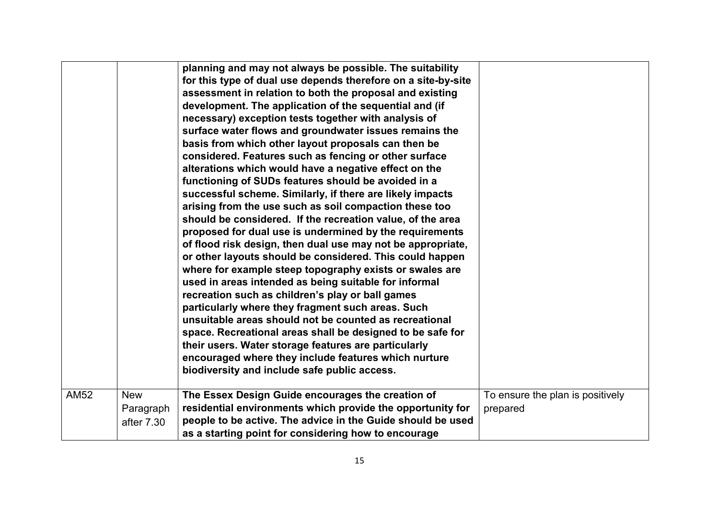|             |            | planning and may not always be possible. The suitability<br>for this type of dual use depends therefore on a site-by-site<br>assessment in relation to both the proposal and existing<br>development. The application of the sequential and (if<br>necessary) exception tests together with analysis of<br>surface water flows and groundwater issues remains the<br>basis from which other layout proposals can then be<br>considered. Features such as fencing or other surface<br>alterations which would have a negative effect on the<br>functioning of SUDs features should be avoided in a<br>successful scheme. Similarly, if there are likely impacts<br>arising from the use such as soil compaction these too<br>should be considered. If the recreation value, of the area<br>proposed for dual use is undermined by the requirements<br>of flood risk design, then dual use may not be appropriate,<br>or other layouts should be considered. This could happen<br>where for example steep topography exists or swales are<br>used in areas intended as being suitable for informal<br>recreation such as children's play or ball games<br>particularly where they fragment such areas. Such<br>unsuitable areas should not be counted as recreational<br>space. Recreational areas shall be designed to be safe for<br>their users. Water storage features are particularly<br>encouraged where they include features which nurture<br>biodiversity and include safe public access. |                                  |
|-------------|------------|---------------------------------------------------------------------------------------------------------------------------------------------------------------------------------------------------------------------------------------------------------------------------------------------------------------------------------------------------------------------------------------------------------------------------------------------------------------------------------------------------------------------------------------------------------------------------------------------------------------------------------------------------------------------------------------------------------------------------------------------------------------------------------------------------------------------------------------------------------------------------------------------------------------------------------------------------------------------------------------------------------------------------------------------------------------------------------------------------------------------------------------------------------------------------------------------------------------------------------------------------------------------------------------------------------------------------------------------------------------------------------------------------------------------------------------------------------------------------------------------------|----------------------------------|
| <b>AM52</b> | <b>New</b> | The Essex Design Guide encourages the creation of                                                                                                                                                                                                                                                                                                                                                                                                                                                                                                                                                                                                                                                                                                                                                                                                                                                                                                                                                                                                                                                                                                                                                                                                                                                                                                                                                                                                                                                 | To ensure the plan is positively |
|             | Paragraph  | residential environments which provide the opportunity for                                                                                                                                                                                                                                                                                                                                                                                                                                                                                                                                                                                                                                                                                                                                                                                                                                                                                                                                                                                                                                                                                                                                                                                                                                                                                                                                                                                                                                        | prepared                         |
|             | after 7.30 | people to be active. The advice in the Guide should be used                                                                                                                                                                                                                                                                                                                                                                                                                                                                                                                                                                                                                                                                                                                                                                                                                                                                                                                                                                                                                                                                                                                                                                                                                                                                                                                                                                                                                                       |                                  |
|             |            | as a starting point for considering how to encourage                                                                                                                                                                                                                                                                                                                                                                                                                                                                                                                                                                                                                                                                                                                                                                                                                                                                                                                                                                                                                                                                                                                                                                                                                                                                                                                                                                                                                                              |                                  |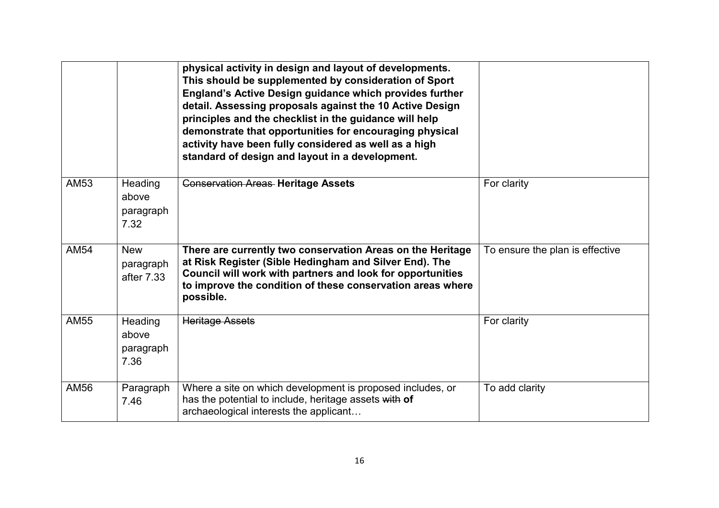|             |                                       | physical activity in design and layout of developments.<br>This should be supplemented by consideration of Sport<br>England's Active Design guidance which provides further<br>detail. Assessing proposals against the 10 Active Design<br>principles and the checklist in the guidance will help<br>demonstrate that opportunities for encouraging physical<br>activity have been fully considered as well as a high<br>standard of design and layout in a development. |                                 |
|-------------|---------------------------------------|--------------------------------------------------------------------------------------------------------------------------------------------------------------------------------------------------------------------------------------------------------------------------------------------------------------------------------------------------------------------------------------------------------------------------------------------------------------------------|---------------------------------|
| <b>AM53</b> | Heading<br>above<br>paragraph<br>7.32 | <b>Conservation Areas Heritage Assets</b>                                                                                                                                                                                                                                                                                                                                                                                                                                | For clarity                     |
| <b>AM54</b> | <b>New</b><br>paragraph<br>after 7.33 | There are currently two conservation Areas on the Heritage<br>at Risk Register (Sible Hedingham and Silver End). The<br>Council will work with partners and look for opportunities<br>to improve the condition of these conservation areas where<br>possible.                                                                                                                                                                                                            | To ensure the plan is effective |
| <b>AM55</b> | Heading<br>above<br>paragraph<br>7.36 | <b>Heritage Assets</b>                                                                                                                                                                                                                                                                                                                                                                                                                                                   | For clarity                     |
| <b>AM56</b> | Paragraph<br>7.46                     | Where a site on which development is proposed includes, or<br>has the potential to include, heritage assets with of<br>archaeological interests the applicant                                                                                                                                                                                                                                                                                                            | To add clarity                  |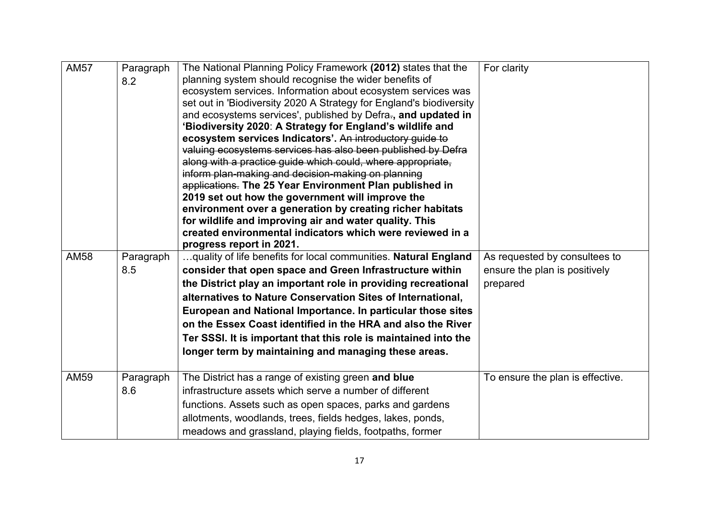| <b>AM57</b> | Paragraph | The National Planning Policy Framework (2012) states that the       | For clarity                      |
|-------------|-----------|---------------------------------------------------------------------|----------------------------------|
|             | 8.2       | planning system should recognise the wider benefits of              |                                  |
|             |           | ecosystem services. Information about ecosystem services was        |                                  |
|             |           | set out in 'Biodiversity 2020 A Strategy for England's biodiversity |                                  |
|             |           | and ecosystems services', published by Defra-, and updated in       |                                  |
|             |           | 'Biodiversity 2020: A Strategy for England's wildlife and           |                                  |
|             |           | ecosystem services Indicators'. An introductory guide to            |                                  |
|             |           | valuing ecosystems services has also been published by Defra        |                                  |
|             |           | along with a practice guide which could, where appropriate,         |                                  |
|             |           | inform plan-making and decision-making on planning                  |                                  |
|             |           | applications. The 25 Year Environment Plan published in             |                                  |
|             |           | 2019 set out how the government will improve the                    |                                  |
|             |           | environment over a generation by creating richer habitats           |                                  |
|             |           | for wildlife and improving air and water quality. This              |                                  |
|             |           | created environmental indicators which were reviewed in a           |                                  |
|             |           | progress report in 2021.                                            |                                  |
| <b>AM58</b> | Paragraph | quality of life benefits for local communities. Natural England     | As requested by consultees to    |
|             | 8.5       | consider that open space and Green Infrastructure within            | ensure the plan is positively    |
|             |           | the District play an important role in providing recreational       | prepared                         |
|             |           | alternatives to Nature Conservation Sites of International,         |                                  |
|             |           | European and National Importance. In particular those sites         |                                  |
|             |           | on the Essex Coast identified in the HRA and also the River         |                                  |
|             |           | Ter SSSI. It is important that this role is maintained into the     |                                  |
|             |           | longer term by maintaining and managing these areas.                |                                  |
|             |           |                                                                     |                                  |
| <b>AM59</b> | Paragraph | The District has a range of existing green and blue                 | To ensure the plan is effective. |
|             | 8.6       | infrastructure assets which serve a number of different             |                                  |
|             |           | functions. Assets such as open spaces, parks and gardens            |                                  |
|             |           | allotments, woodlands, trees, fields hedges, lakes, ponds,          |                                  |
|             |           |                                                                     |                                  |
|             |           | meadows and grassland, playing fields, footpaths, former            |                                  |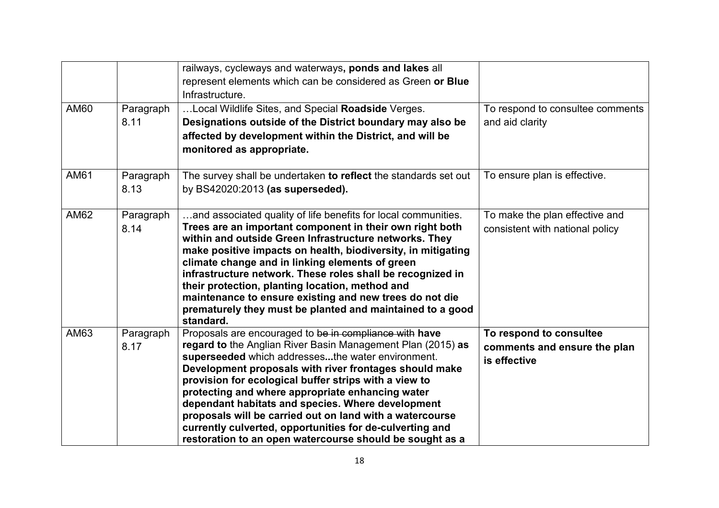| <b>AM60</b> | Paragraph<br>8.11 | railways, cycleways and waterways, ponds and lakes all<br>represent elements which can be considered as Green or Blue<br>Infrastructure.<br>Local Wildlife Sites, and Special Roadside Verges.<br>Designations outside of the District boundary may also be                                                                                                                                                                                                                                                                                                                                | To respond to consultee comments<br>and aid clarity                     |
|-------------|-------------------|--------------------------------------------------------------------------------------------------------------------------------------------------------------------------------------------------------------------------------------------------------------------------------------------------------------------------------------------------------------------------------------------------------------------------------------------------------------------------------------------------------------------------------------------------------------------------------------------|-------------------------------------------------------------------------|
|             |                   | affected by development within the District, and will be<br>monitored as appropriate.                                                                                                                                                                                                                                                                                                                                                                                                                                                                                                      |                                                                         |
| AM61        | Paragraph<br>8.13 | The survey shall be undertaken to reflect the standards set out<br>by BS42020:2013 (as superseded).                                                                                                                                                                                                                                                                                                                                                                                                                                                                                        | To ensure plan is effective.                                            |
| AM62        | Paragraph<br>8.14 | and associated quality of life benefits for local communities.<br>Trees are an important component in their own right both<br>within and outside Green Infrastructure networks. They<br>make positive impacts on health, biodiversity, in mitigating<br>climate change and in linking elements of green<br>infrastructure network. These roles shall be recognized in<br>their protection, planting location, method and<br>maintenance to ensure existing and new trees do not die<br>prematurely they must be planted and maintained to a good<br>standard.                              | To make the plan effective and<br>consistent with national policy       |
| AM63        | Paragraph<br>8.17 | Proposals are encouraged to be in compliance with have<br>regard to the Anglian River Basin Management Plan (2015) as<br>superseeded which addressesthe water environment.<br>Development proposals with river frontages should make<br>provision for ecological buffer strips with a view to<br>protecting and where appropriate enhancing water<br>dependant habitats and species. Where development<br>proposals will be carried out on land with a watercourse<br>currently culverted, opportunities for de-culverting and<br>restoration to an open watercourse should be sought as a | To respond to consultee<br>comments and ensure the plan<br>is effective |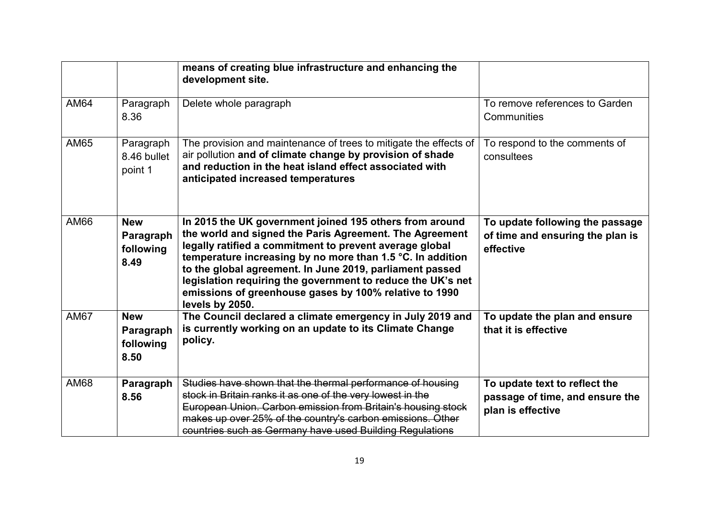|             |                                              | means of creating blue infrastructure and enhancing the<br>development site.                                                                                                                                                                                                                                                                                                                                                                        |                                                                                       |
|-------------|----------------------------------------------|-----------------------------------------------------------------------------------------------------------------------------------------------------------------------------------------------------------------------------------------------------------------------------------------------------------------------------------------------------------------------------------------------------------------------------------------------------|---------------------------------------------------------------------------------------|
| <b>AM64</b> | Paragraph<br>8.36                            | Delete whole paragraph                                                                                                                                                                                                                                                                                                                                                                                                                              | To remove references to Garden<br>Communities                                         |
| AM65        | Paragraph<br>8.46 bullet<br>point 1          | The provision and maintenance of trees to mitigate the effects of<br>air pollution and of climate change by provision of shade<br>and reduction in the heat island effect associated with<br>anticipated increased temperatures                                                                                                                                                                                                                     | To respond to the comments of<br>consultees                                           |
| AM66        | <b>New</b><br>Paragraph<br>following<br>8.49 | In 2015 the UK government joined 195 others from around<br>the world and signed the Paris Agreement. The Agreement<br>legally ratified a commitment to prevent average global<br>temperature increasing by no more than 1.5 °C. In addition<br>to the global agreement. In June 2019, parliament passed<br>legislation requiring the government to reduce the UK's net<br>emissions of greenhouse gases by 100% relative to 1990<br>levels by 2050. | To update following the passage<br>of time and ensuring the plan is<br>effective      |
| <b>AM67</b> | <b>New</b><br>Paragraph<br>following<br>8.50 | The Council declared a climate emergency in July 2019 and<br>is currently working on an update to its Climate Change<br>policy.                                                                                                                                                                                                                                                                                                                     | To update the plan and ensure<br>that it is effective                                 |
| <b>AM68</b> | Paragraph<br>8.56                            | Studies have shown that the thermal performance of housing<br>stock in Britain ranks it as one of the very lowest in the<br>European Union. Carbon emission from Britain's housing stock<br>makes up over 25% of the country's carbon emissions. Other<br>countries such as Germany have used Building Regulations                                                                                                                                  | To update text to reflect the<br>passage of time, and ensure the<br>plan is effective |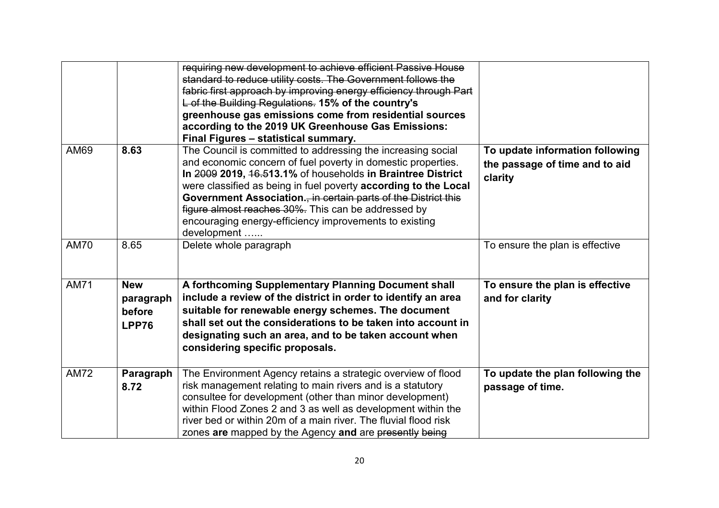|             |                                            | requiring new development to achieve efficient Passive House<br>standard to reduce utility costs. The Government follows the<br>fabric first approach by improving energy efficiency through Part<br>L of the Building Regulations. 15% of the country's<br>greenhouse gas emissions come from residential sources<br>according to the 2019 UK Greenhouse Gas Emissions:<br>Final Figures - statistical summary.                                                |                                                                              |
|-------------|--------------------------------------------|-----------------------------------------------------------------------------------------------------------------------------------------------------------------------------------------------------------------------------------------------------------------------------------------------------------------------------------------------------------------------------------------------------------------------------------------------------------------|------------------------------------------------------------------------------|
| AM69        | 8.63                                       | The Council is committed to addressing the increasing social<br>and economic concern of fuel poverty in domestic properties.<br>In 2009 2019, 16.513.1% of households in Braintree District<br>were classified as being in fuel poverty according to the Local<br>Government Association. in certain parts of the District this<br>figure almost reaches 30%. This can be addressed by<br>encouraging energy-efficiency improvements to existing<br>development | To update information following<br>the passage of time and to aid<br>clarity |
| <b>AM70</b> | 8.65                                       | Delete whole paragraph                                                                                                                                                                                                                                                                                                                                                                                                                                          | To ensure the plan is effective                                              |
| <b>AM71</b> | <b>New</b><br>paragraph<br>before<br>LPP76 | A forthcoming Supplementary Planning Document shall<br>include a review of the district in order to identify an area<br>suitable for renewable energy schemes. The document<br>shall set out the considerations to be taken into account in<br>designating such an area, and to be taken account when<br>considering specific proposals.                                                                                                                        | To ensure the plan is effective<br>and for clarity                           |
| <b>AM72</b> | Paragraph<br>8.72                          | The Environment Agency retains a strategic overview of flood<br>risk management relating to main rivers and is a statutory<br>consultee for development (other than minor development)<br>within Flood Zones 2 and 3 as well as development within the<br>river bed or within 20m of a main river. The fluvial flood risk<br>zones are mapped by the Agency and are presently being                                                                             | To update the plan following the<br>passage of time.                         |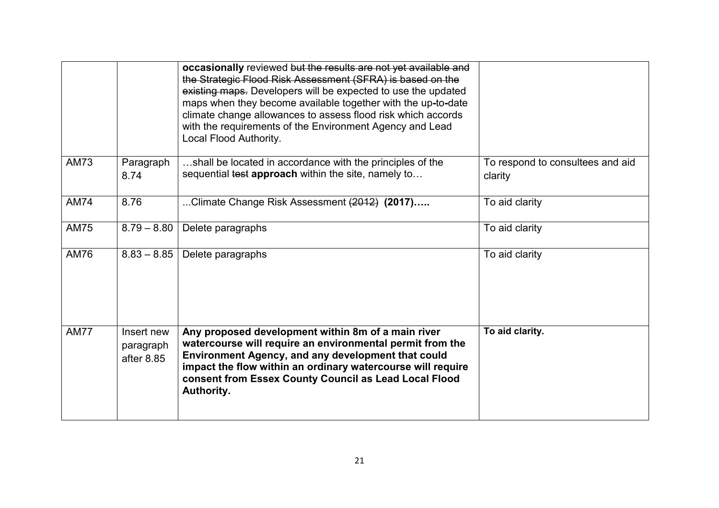|             |                                       | occasionally reviewed but the results are not yet available and<br>the Strategic Flood Risk Assessment (SFRA) is based on the<br>existing maps. Developers will be expected to use the updated<br>maps when they become available together with the up-to-date<br>climate change allowances to assess flood risk which accords<br>with the requirements of the Environment Agency and Lead<br>Local Flood Authority. |                                             |
|-------------|---------------------------------------|----------------------------------------------------------------------------------------------------------------------------------------------------------------------------------------------------------------------------------------------------------------------------------------------------------------------------------------------------------------------------------------------------------------------|---------------------------------------------|
| <b>AM73</b> | Paragraph<br>8.74                     | shall be located in accordance with the principles of the<br>sequential test approach within the site, namely to                                                                                                                                                                                                                                                                                                     | To respond to consultees and aid<br>clarity |
| <b>AM74</b> | 8.76                                  | Climate Change Risk Assessment (2012) (2017)                                                                                                                                                                                                                                                                                                                                                                         | To aid clarity                              |
| <b>AM75</b> | $8.79 - 8.80$                         | Delete paragraphs                                                                                                                                                                                                                                                                                                                                                                                                    | To aid clarity                              |
| AM76        | $8.83 - 8.85$                         | Delete paragraphs                                                                                                                                                                                                                                                                                                                                                                                                    | To aid clarity                              |
| <b>AM77</b> | Insert new<br>paragraph<br>after 8.85 | Any proposed development within 8m of a main river<br>watercourse will require an environmental permit from the<br><b>Environment Agency, and any development that could</b><br>impact the flow within an ordinary watercourse will require<br>consent from Essex County Council as Lead Local Flood<br>Authority.                                                                                                   | To aid clarity.                             |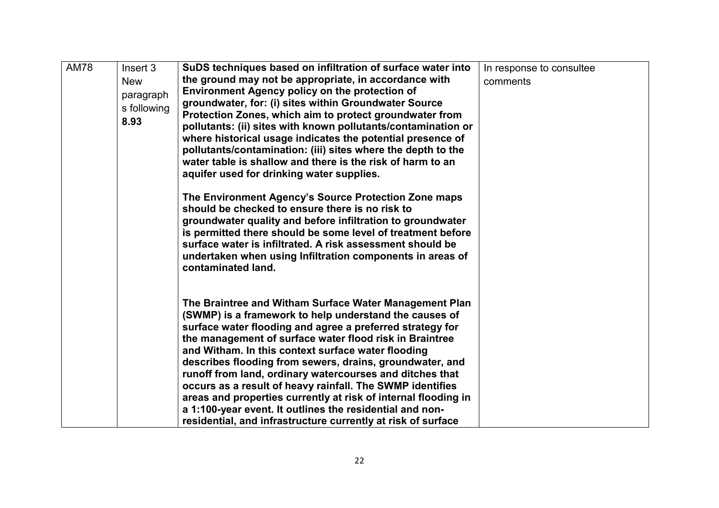| <b>AM78</b> | Insert 3<br><b>New</b><br>paragraph<br>s following<br>8.93 | SuDS techniques based on infiltration of surface water into<br>the ground may not be appropriate, in accordance with<br><b>Environment Agency policy on the protection of</b><br>groundwater, for: (i) sites within Groundwater Source<br>Protection Zones, which aim to protect groundwater from                                                                                                                                                                                                                                                                                                                                                                                 | In response to consultee<br>comments |
|-------------|------------------------------------------------------------|-----------------------------------------------------------------------------------------------------------------------------------------------------------------------------------------------------------------------------------------------------------------------------------------------------------------------------------------------------------------------------------------------------------------------------------------------------------------------------------------------------------------------------------------------------------------------------------------------------------------------------------------------------------------------------------|--------------------------------------|
|             |                                                            | pollutants: (ii) sites with known pollutants/contamination or<br>where historical usage indicates the potential presence of<br>pollutants/contamination: (iii) sites where the depth to the<br>water table is shallow and there is the risk of harm to an<br>aquifer used for drinking water supplies.                                                                                                                                                                                                                                                                                                                                                                            |                                      |
|             |                                                            | The Environment Agency's Source Protection Zone maps<br>should be checked to ensure there is no risk to<br>groundwater quality and before infiltration to groundwater<br>is permitted there should be some level of treatment before<br>surface water is infiltrated. A risk assessment should be<br>undertaken when using Infiltration components in areas of<br>contaminated land.                                                                                                                                                                                                                                                                                              |                                      |
|             |                                                            | The Braintree and Witham Surface Water Management Plan<br>(SWMP) is a framework to help understand the causes of<br>surface water flooding and agree a preferred strategy for<br>the management of surface water flood risk in Braintree<br>and Witham. In this context surface water flooding<br>describes flooding from sewers, drains, groundwater, and<br>runoff from land, ordinary watercourses and ditches that<br>occurs as a result of heavy rainfall. The SWMP identifies<br>areas and properties currently at risk of internal flooding in<br>a 1:100-year event. It outlines the residential and non-<br>residential, and infrastructure currently at risk of surface |                                      |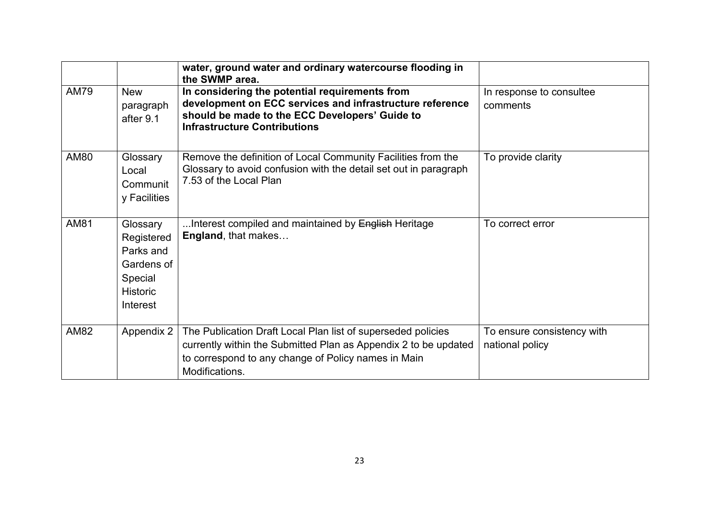|             |                                                                                             | water, ground water and ordinary watercourse flooding in<br>the SWMP area.                                                                                                                               |                                               |
|-------------|---------------------------------------------------------------------------------------------|----------------------------------------------------------------------------------------------------------------------------------------------------------------------------------------------------------|-----------------------------------------------|
| <b>AM79</b> | <b>New</b><br>paragraph<br>after 9.1                                                        | In considering the potential requirements from<br>development on ECC services and infrastructure reference<br>should be made to the ECC Developers' Guide to<br><b>Infrastructure Contributions</b>      | In response to consultee<br>comments          |
| AM80        | Glossary<br>Local<br>Communit<br>y Facilities                                               | Remove the definition of Local Community Facilities from the<br>Glossary to avoid confusion with the detail set out in paragraph<br>7.53 of the Local Plan                                               | To provide clarity                            |
| AM81        | Glossary<br>Registered<br>Parks and<br>Gardens of<br>Special<br><b>Historic</b><br>Interest | Interest compiled and maintained by <del>English</del> Heritage<br>England, that makes                                                                                                                   | To correct error                              |
| AM82        | Appendix 2                                                                                  | The Publication Draft Local Plan list of superseded policies<br>currently within the Submitted Plan as Appendix 2 to be updated<br>to correspond to any change of Policy names in Main<br>Modifications. | To ensure consistency with<br>national policy |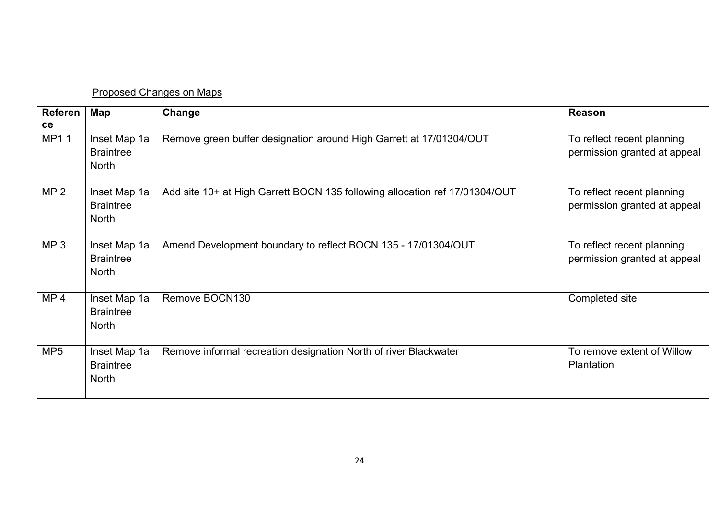## Proposed Changes on Maps

| <b>Referen</b><br>ce | Map                                              | Change                                                                      | <b>Reason</b>                                              |
|----------------------|--------------------------------------------------|-----------------------------------------------------------------------------|------------------------------------------------------------|
| MP11                 | Inset Map 1a<br><b>Braintree</b><br><b>North</b> | Remove green buffer designation around High Garrett at 17/01304/OUT         | To reflect recent planning<br>permission granted at appeal |
| MP <sub>2</sub>      | Inset Map 1a<br><b>Braintree</b><br><b>North</b> | Add site 10+ at High Garrett BOCN 135 following allocation ref 17/01304/OUT | To reflect recent planning<br>permission granted at appeal |
| MP <sub>3</sub>      | Inset Map 1a<br><b>Braintree</b><br><b>North</b> | Amend Development boundary to reflect BOCN 135 - 17/01304/OUT               | To reflect recent planning<br>permission granted at appeal |
| MP <sub>4</sub>      | Inset Map 1a<br><b>Braintree</b><br><b>North</b> | Remove BOCN130                                                              | Completed site                                             |
| MP <sub>5</sub>      | Inset Map 1a<br><b>Braintree</b><br><b>North</b> | Remove informal recreation designation North of river Blackwater            | To remove extent of Willow<br>Plantation                   |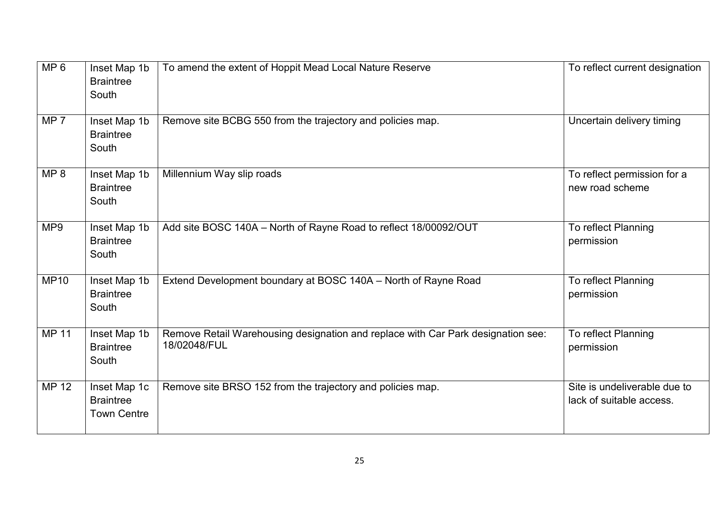| MP 6            | Inset Map 1b<br><b>Braintree</b><br>South              | To amend the extent of Hoppit Mead Local Nature Reserve                                          | To reflect current designation                           |
|-----------------|--------------------------------------------------------|--------------------------------------------------------------------------------------------------|----------------------------------------------------------|
| MP <sub>7</sub> | Inset Map 1b<br><b>Braintree</b><br>South              | Remove site BCBG 550 from the trajectory and policies map.                                       | Uncertain delivery timing                                |
| MP 8            | Inset Map 1b<br><b>Braintree</b><br>South              | Millennium Way slip roads                                                                        | To reflect permission for a<br>new road scheme           |
| MP <sub>9</sub> | Inset Map 1b<br><b>Braintree</b><br>South              | Add site BOSC 140A - North of Rayne Road to reflect 18/00092/OUT                                 | To reflect Planning<br>permission                        |
| <b>MP10</b>     | Inset Map 1b<br><b>Braintree</b><br>South              | Extend Development boundary at BOSC 140A - North of Rayne Road                                   | To reflect Planning<br>permission                        |
| MP 11           | Inset Map 1b<br><b>Braintree</b><br>South              | Remove Retail Warehousing designation and replace with Car Park designation see:<br>18/02048/FUL | To reflect Planning<br>permission                        |
| MP 12           | Inset Map 1c<br><b>Braintree</b><br><b>Town Centre</b> | Remove site BRSO 152 from the trajectory and policies map.                                       | Site is undeliverable due to<br>lack of suitable access. |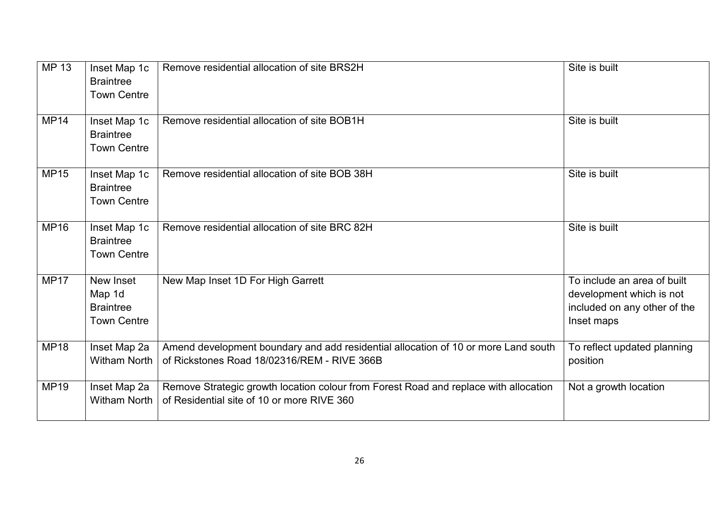| MP 13       | Inset Map 1c<br><b>Braintree</b><br><b>Town Centre</b>        | Remove residential allocation of site BRS2H                                                                                        | Site is built                                                                                         |
|-------------|---------------------------------------------------------------|------------------------------------------------------------------------------------------------------------------------------------|-------------------------------------------------------------------------------------------------------|
| <b>MP14</b> | Inset Map 1c<br><b>Braintree</b><br><b>Town Centre</b>        | Remove residential allocation of site BOB1H                                                                                        | Site is built                                                                                         |
| <b>MP15</b> | Inset Map 1c<br><b>Braintree</b><br><b>Town Centre</b>        | Remove residential allocation of site BOB 38H                                                                                      | Site is built                                                                                         |
| <b>MP16</b> | Inset Map 1c<br><b>Braintree</b><br><b>Town Centre</b>        | Remove residential allocation of site BRC 82H                                                                                      | Site is built                                                                                         |
| <b>MP17</b> | New Inset<br>Map 1d<br><b>Braintree</b><br><b>Town Centre</b> | New Map Inset 1D For High Garrett                                                                                                  | To include an area of built<br>development which is not<br>included on any other of the<br>Inset maps |
| <b>MP18</b> | Inset Map 2a<br><b>Witham North</b>                           | Amend development boundary and add residential allocation of 10 or more Land south<br>of Rickstones Road 18/02316/REM - RIVE 366B  | To reflect updated planning<br>position                                                               |
| <b>MP19</b> | Inset Map 2a<br><b>Witham North</b>                           | Remove Strategic growth location colour from Forest Road and replace with allocation<br>of Residential site of 10 or more RIVE 360 | Not a growth location                                                                                 |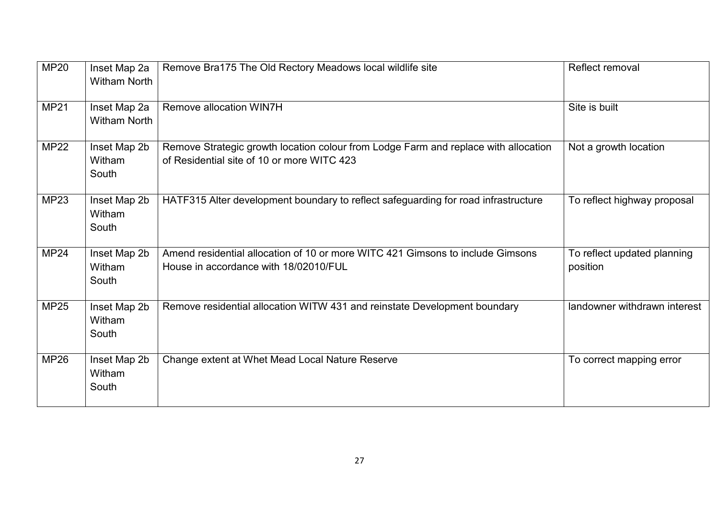| MP20        | Inset Map 2a<br><b>Witham North</b> | Remove Bra175 The Old Rectory Meadows local wildlife site                                                                         | <b>Reflect removal</b>                  |
|-------------|-------------------------------------|-----------------------------------------------------------------------------------------------------------------------------------|-----------------------------------------|
| <b>MP21</b> | Inset Map 2a<br><b>Witham North</b> | <b>Remove allocation WIN7H</b>                                                                                                    | Site is built                           |
| <b>MP22</b> | Inset Map 2b<br>Witham<br>South     | Remove Strategic growth location colour from Lodge Farm and replace with allocation<br>of Residential site of 10 or more WITC 423 | Not a growth location                   |
| MP23        | Inset Map 2b<br>Witham<br>South     | HATF315 Alter development boundary to reflect safeguarding for road infrastructure                                                | To reflect highway proposal             |
| <b>MP24</b> | Inset Map 2b<br>Witham<br>South     | Amend residential allocation of 10 or more WITC 421 Gimsons to include Gimsons<br>House in accordance with 18/02010/FUL           | To reflect updated planning<br>position |
| <b>MP25</b> | Inset Map 2b<br>Witham<br>South     | Remove residential allocation WITW 431 and reinstate Development boundary                                                         | landowner withdrawn interest            |
| <b>MP26</b> | Inset Map 2b<br>Witham<br>South     | Change extent at Whet Mead Local Nature Reserve                                                                                   | To correct mapping error                |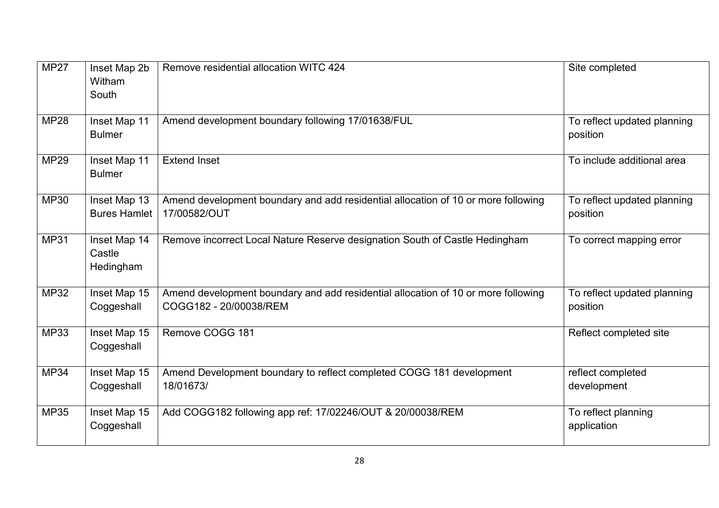| <b>MP27</b> | Inset Map 2b<br>Witham<br>South     | Remove residential allocation WITC 424                                                                      | Site completed                          |
|-------------|-------------------------------------|-------------------------------------------------------------------------------------------------------------|-----------------------------------------|
| <b>MP28</b> | Inset Map 11<br><b>Bulmer</b>       | Amend development boundary following 17/01638/FUL                                                           | To reflect updated planning<br>position |
| <b>MP29</b> | Inset Map 11<br><b>Bulmer</b>       | <b>Extend Inset</b>                                                                                         | To include additional area              |
| <b>MP30</b> | Inset Map 13<br><b>Bures Hamlet</b> | Amend development boundary and add residential allocation of 10 or more following<br>17/00582/OUT           | To reflect updated planning<br>position |
| <b>MP31</b> | Inset Map 14<br>Castle<br>Hedingham | Remove incorrect Local Nature Reserve designation South of Castle Hedingham                                 | To correct mapping error                |
| <b>MP32</b> | Inset Map 15<br>Coggeshall          | Amend development boundary and add residential allocation of 10 or more following<br>COGG182 - 20/00038/REM | To reflect updated planning<br>position |
| <b>MP33</b> | Inset Map 15<br>Coggeshall          | Remove COGG 181                                                                                             | Reflect completed site                  |
| <b>MP34</b> | Inset Map 15<br>Coggeshall          | Amend Development boundary to reflect completed COGG 181 development<br>18/01673/                           | reflect completed<br>development        |
| <b>MP35</b> | Inset Map 15<br>Coggeshall          | Add COGG182 following app ref: 17/02246/OUT & 20/00038/REM                                                  | To reflect planning<br>application      |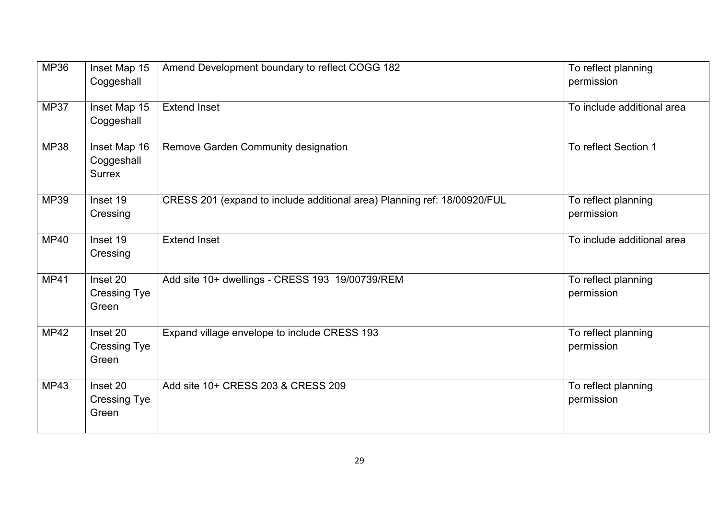| MP36        | Inset Map 15<br>Coggeshall                  | Amend Development boundary to reflect COGG 182                           | To reflect planning<br>permission |
|-------------|---------------------------------------------|--------------------------------------------------------------------------|-----------------------------------|
| <b>MP37</b> | Inset Map 15<br>Coggeshall                  | <b>Extend Inset</b>                                                      | To include additional area        |
| <b>MP38</b> | Inset Map 16<br>Coggeshall<br><b>Surrex</b> | Remove Garden Community designation                                      | To reflect Section 1              |
| <b>MP39</b> | Inset 19<br>Cressing                        | CRESS 201 (expand to include additional area) Planning ref: 18/00920/FUL | To reflect planning<br>permission |
| <b>MP40</b> | Inset 19<br>Cressing                        | <b>Extend Inset</b>                                                      | To include additional area        |
| <b>MP41</b> | Inset 20<br><b>Cressing Tye</b><br>Green    | Add site 10+ dwellings - CRESS 193 19/00739/REM                          | To reflect planning<br>permission |
| <b>MP42</b> | Inset 20<br><b>Cressing Tye</b><br>Green    | Expand village envelope to include CRESS 193                             | To reflect planning<br>permission |
| <b>MP43</b> | Inset 20<br><b>Cressing Tye</b><br>Green    | Add site 10+ CRESS 203 & CRESS 209                                       | To reflect planning<br>permission |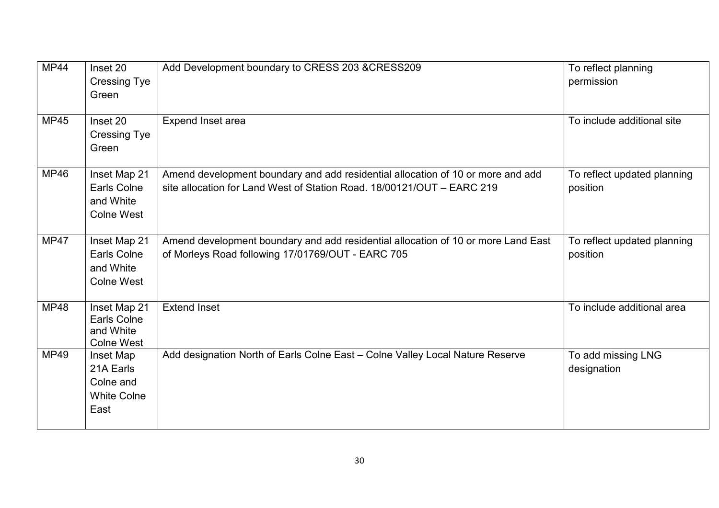| MP44        | Inset 20<br><b>Cressing Tye</b><br>Green                                    | Add Development boundary to CRESS 203 &CRESS209                                                                                                           | To reflect planning<br>permission       |
|-------------|-----------------------------------------------------------------------------|-----------------------------------------------------------------------------------------------------------------------------------------------------------|-----------------------------------------|
| <b>MP45</b> | Inset 20<br><b>Cressing Tye</b><br>Green                                    | Expend Inset area                                                                                                                                         | To include additional site              |
| MP46        | Inset Map 21<br><b>Earls Colne</b><br>and White<br><b>Colne West</b>        | Amend development boundary and add residential allocation of 10 or more and add<br>site allocation for Land West of Station Road, 18/00121/OUT - EARC 219 | To reflect updated planning<br>position |
| <b>MP47</b> | Inset Map 21<br><b>Earls Colne</b><br>and White<br><b>Colne West</b>        | Amend development boundary and add residential allocation of 10 or more Land East<br>of Morleys Road following 17/01769/OUT - EARC 705                    | To reflect updated planning<br>position |
| <b>MP48</b> | <b>Inset Map 21</b><br><b>Earls Colne</b><br>and White<br><b>Colne West</b> | <b>Extend Inset</b>                                                                                                                                       | To include additional area              |
| <b>MP49</b> | Inset Map<br>21A Earls<br>Colne and<br><b>White Colne</b><br>East           | Add designation North of Earls Colne East - Colne Valley Local Nature Reserve                                                                             | To add missing LNG<br>designation       |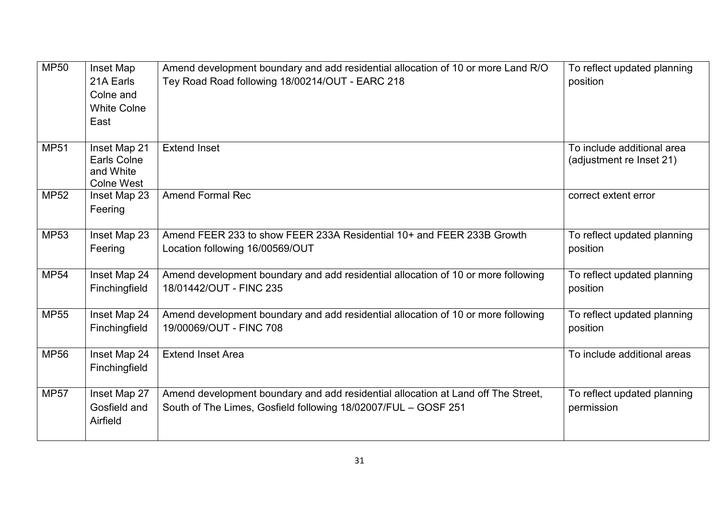| <b>MP50</b> | Inset Map<br>21A Earls<br>Colne and<br><b>White Colne</b><br>East    | Amend development boundary and add residential allocation of 10 or more Land R/O<br>Tey Road Road following 18/00214/OUT - EARC 218                 | To reflect updated planning<br>position                |
|-------------|----------------------------------------------------------------------|-----------------------------------------------------------------------------------------------------------------------------------------------------|--------------------------------------------------------|
| <b>MP51</b> | Inset Map 21<br><b>Earls Colne</b><br>and White<br><b>Colne West</b> | <b>Extend Inset</b>                                                                                                                                 | To include additional area<br>(adjustment re Inset 21) |
| <b>MP52</b> | Inset Map 23<br>Feering                                              | <b>Amend Formal Rec</b>                                                                                                                             | correct extent error                                   |
| <b>MP53</b> | Inset Map 23<br>Feering                                              | Amend FEER 233 to show FEER 233A Residential 10+ and FEER 233B Growth<br>Location following 16/00569/OUT                                            | To reflect updated planning<br>position                |
| <b>MP54</b> | Inset Map 24<br>Finchingfield                                        | Amend development boundary and add residential allocation of 10 or more following<br>18/01442/OUT - FINC 235                                        | To reflect updated planning<br>position                |
| <b>MP55</b> | Inset Map 24<br>Finchingfield                                        | Amend development boundary and add residential allocation of 10 or more following<br>19/00069/OUT - FINC 708                                        | To reflect updated planning<br>position                |
| <b>MP56</b> | Inset Map 24<br>Finchingfield                                        | <b>Extend Inset Area</b>                                                                                                                            | To include additional areas                            |
| <b>MP57</b> | Inset Map 27<br>Gosfield and<br>Airfield                             | Amend development boundary and add residential allocation at Land off The Street,<br>South of The Limes, Gosfield following 18/02007/FUL - GOSF 251 | To reflect updated planning<br>permission              |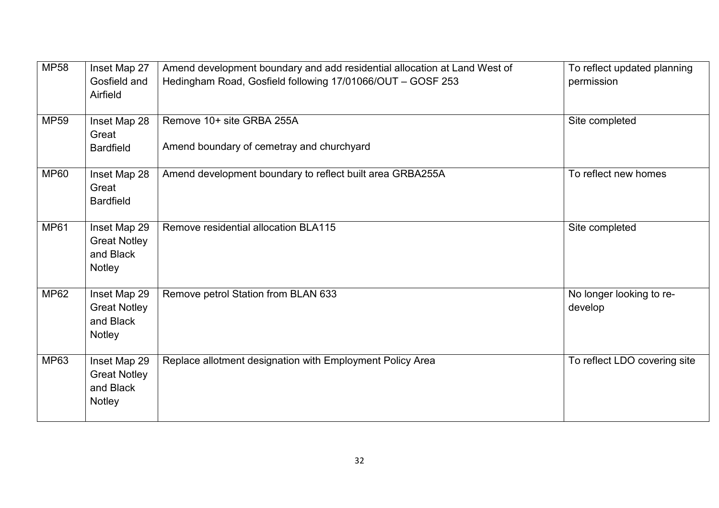| <b>MP58</b> | Inset Map 27<br>Gosfield and<br>Airfield                          | Amend development boundary and add residential allocation at Land West of<br>Hedingham Road, Gosfield following 17/01066/OUT - GOSF 253 | To reflect updated planning<br>permission |
|-------------|-------------------------------------------------------------------|-----------------------------------------------------------------------------------------------------------------------------------------|-------------------------------------------|
| <b>MP59</b> | Inset Map 28<br>Great<br><b>Bardfield</b>                         | Remove 10+ site GRBA 255A<br>Amend boundary of cemetray and churchyard                                                                  | Site completed                            |
| <b>MP60</b> | Inset Map 28<br>Great<br><b>Bardfield</b>                         | Amend development boundary to reflect built area GRBA255A                                                                               | To reflect new homes                      |
| <b>MP61</b> | Inset Map 29<br><b>Great Notley</b><br>and Black<br><b>Notley</b> | Remove residential allocation BLA115                                                                                                    | Site completed                            |
| <b>MP62</b> | Inset Map 29<br><b>Great Notley</b><br>and Black<br>Notley        | Remove petrol Station from BLAN 633                                                                                                     | No longer looking to re-<br>develop       |
| <b>MP63</b> | Inset Map 29<br><b>Great Notley</b><br>and Black<br><b>Notley</b> | Replace allotment designation with Employment Policy Area                                                                               | To reflect LDO covering site              |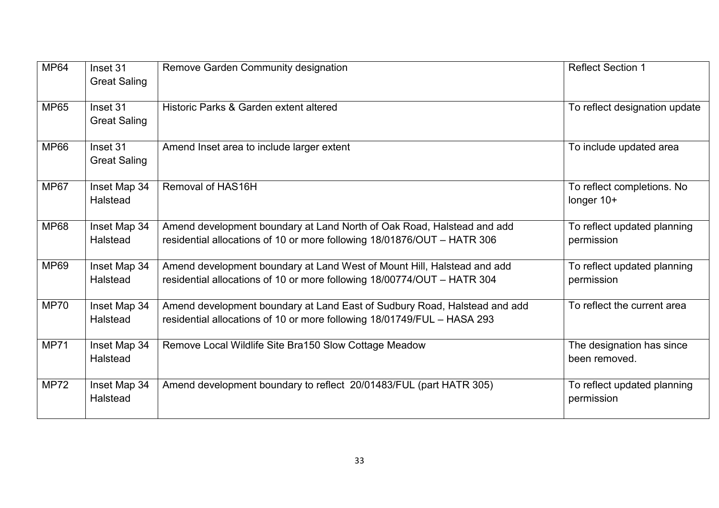| <b>MP64</b> | Inset 31<br><b>Great Saling</b> | Remove Garden Community designation                                                                                                                  | <b>Reflect Section 1</b>                   |
|-------------|---------------------------------|------------------------------------------------------------------------------------------------------------------------------------------------------|--------------------------------------------|
| <b>MP65</b> | Inset 31<br><b>Great Saling</b> | Historic Parks & Garden extent altered                                                                                                               | To reflect designation update              |
| <b>MP66</b> | Inset 31<br><b>Great Saling</b> | Amend Inset area to include larger extent                                                                                                            | To include updated area                    |
| <b>MP67</b> | Inset Map 34<br>Halstead        | Removal of HAS16H                                                                                                                                    | To reflect completions. No<br>longer 10+   |
| <b>MP68</b> | Inset Map 34<br>Halstead        | Amend development boundary at Land North of Oak Road, Halstead and add<br>residential allocations of 10 or more following 18/01876/OUT - HATR 306    | To reflect updated planning<br>permission  |
| <b>MP69</b> | Inset Map 34<br>Halstead        | Amend development boundary at Land West of Mount Hill, Halstead and add<br>residential allocations of 10 or more following 18/00774/OUT - HATR 304   | To reflect updated planning<br>permission  |
| <b>MP70</b> | Inset Map 34<br><b>Halstead</b> | Amend development boundary at Land East of Sudbury Road, Halstead and add<br>residential allocations of 10 or more following 18/01749/FUL - HASA 293 | To reflect the current area                |
| <b>MP71</b> | Inset Map 34<br>Halstead        | Remove Local Wildlife Site Bra150 Slow Cottage Meadow                                                                                                | The designation has since<br>been removed. |
| <b>MP72</b> | Inset Map 34<br>Halstead        | Amend development boundary to reflect 20/01483/FUL (part HATR 305)                                                                                   | To reflect updated planning<br>permission  |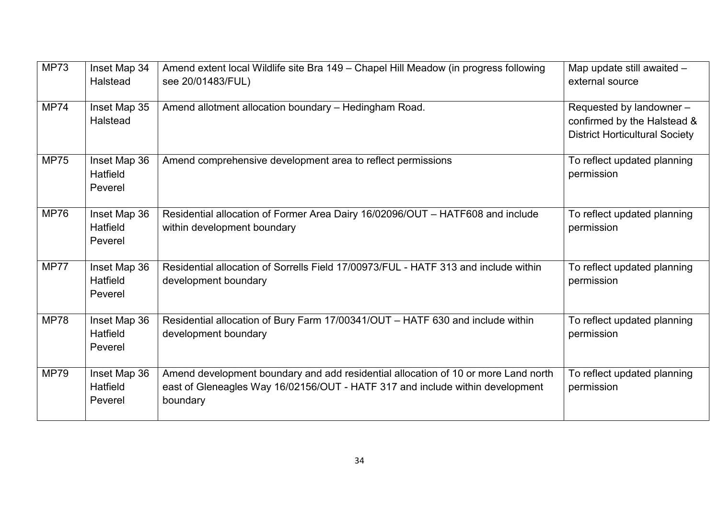| <b>MP73</b> | Inset Map 34<br><b>Halstead</b>            | Amend extent local Wildlife site Bra 149 – Chapel Hill Meadow (in progress following<br>see 20/01483/FUL)                                                                       | Map update still awaited -<br>external source                                                    |
|-------------|--------------------------------------------|---------------------------------------------------------------------------------------------------------------------------------------------------------------------------------|--------------------------------------------------------------------------------------------------|
| <b>MP74</b> | Inset Map 35<br>Halstead                   | Amend allotment allocation boundary - Hedingham Road.                                                                                                                           | Requested by landowner -<br>confirmed by the Halstead &<br><b>District Horticultural Society</b> |
| <b>MP75</b> | Inset Map 36<br><b>Hatfield</b><br>Peverel | Amend comprehensive development area to reflect permissions                                                                                                                     | To reflect updated planning<br>permission                                                        |
| <b>MP76</b> | Inset Map 36<br>Hatfield<br>Peverel        | Residential allocation of Former Area Dairy 16/02096/OUT - HATF608 and include<br>within development boundary                                                                   | To reflect updated planning<br>permission                                                        |
| <b>MP77</b> | Inset Map 36<br>Hatfield<br>Peverel        | Residential allocation of Sorrells Field 17/00973/FUL - HATF 313 and include within<br>development boundary                                                                     | To reflect updated planning<br>permission                                                        |
| <b>MP78</b> | Inset Map 36<br><b>Hatfield</b><br>Peverel | Residential allocation of Bury Farm 17/00341/OUT - HATF 630 and include within<br>development boundary                                                                          | To reflect updated planning<br>permission                                                        |
| <b>MP79</b> | Inset Map 36<br>Hatfield<br>Peverel        | Amend development boundary and add residential allocation of 10 or more Land north<br>east of Gleneagles Way 16/02156/OUT - HATF 317 and include within development<br>boundary | To reflect updated planning<br>permission                                                        |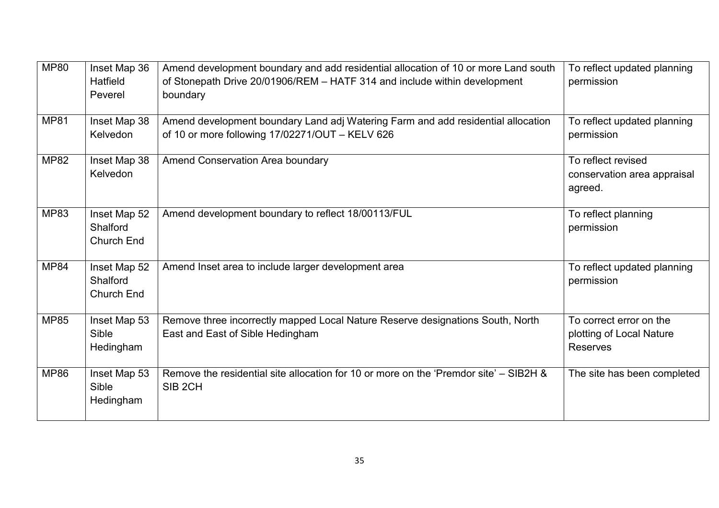| <b>MP80</b> | Inset Map 36<br>Hatfield<br>Peverel           | Amend development boundary and add residential allocation of 10 or more Land south<br>of Stonepath Drive 20/01906/REM - HATF 314 and include within development<br>boundary | To reflect updated planning<br>permission                       |
|-------------|-----------------------------------------------|-----------------------------------------------------------------------------------------------------------------------------------------------------------------------------|-----------------------------------------------------------------|
| <b>MP81</b> | Inset Map 38<br><b>Kelvedon</b>               | Amend development boundary Land adj Watering Farm and add residential allocation<br>of 10 or more following 17/02271/OUT - KELV 626                                         | To reflect updated planning<br>permission                       |
| <b>MP82</b> | Inset Map 38<br>Kelvedon                      | Amend Conservation Area boundary                                                                                                                                            | To reflect revised<br>conservation area appraisal<br>agreed.    |
| <b>MP83</b> | Inset Map 52<br>Shalford<br><b>Church End</b> | Amend development boundary to reflect 18/00113/FUL                                                                                                                          | To reflect planning<br>permission                               |
| <b>MP84</b> | Inset Map 52<br>Shalford<br><b>Church End</b> | Amend Inset area to include larger development area                                                                                                                         | To reflect updated planning<br>permission                       |
| <b>MP85</b> | Inset Map 53<br>Sible<br>Hedingham            | Remove three incorrectly mapped Local Nature Reserve designations South, North<br>East and East of Sible Hedingham                                                          | To correct error on the<br>plotting of Local Nature<br>Reserves |
| <b>MP86</b> | Inset Map 53<br>Sible<br>Hedingham            | Remove the residential site allocation for 10 or more on the 'Premdor site' – SIB2H &<br>SIB <sub>2CH</sub>                                                                 | The site has been completed                                     |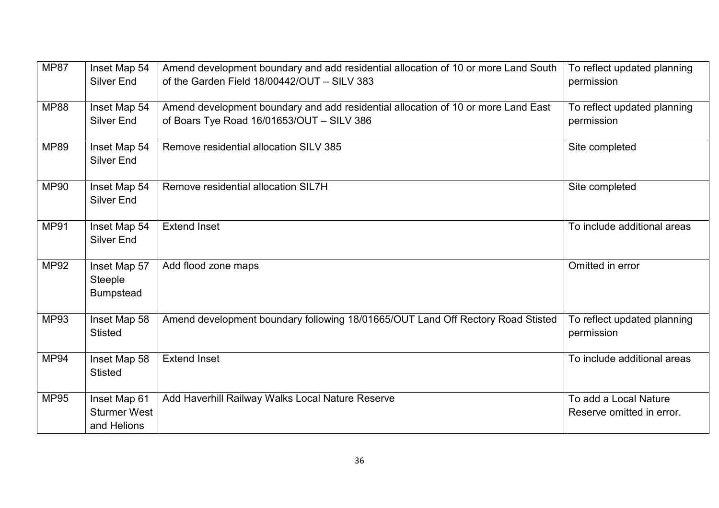| <b>MP87</b> | Inset Map 54<br>Silver End                         | Amend development boundary and add residential allocation of 10 or more Land South<br>of the Garden Field 18/00442/OUT - SILV 383 | To reflect updated planning<br>permission          |
|-------------|----------------------------------------------------|-----------------------------------------------------------------------------------------------------------------------------------|----------------------------------------------------|
| <b>MP88</b> | Inset Map 54<br><b>Silver End</b>                  | Amend development boundary and add residential allocation of 10 or more Land East<br>of Boars Tye Road 16/01653/OUT - SILV 386    | To reflect updated planning<br>permission          |
| <b>MP89</b> | Inset Map 54<br><b>Silver End</b>                  | Remove residential allocation SILV 385                                                                                            | Site completed                                     |
| <b>MP90</b> | Inset Map 54<br><b>Silver End</b>                  | Remove residential allocation SIL7H                                                                                               | Site completed                                     |
| <b>MP91</b> | Inset Map 54<br><b>Silver End</b>                  | <b>Extend Inset</b>                                                                                                               | To include additional areas                        |
| <b>MP92</b> | Inset Map 57<br><b>Steeple</b><br><b>Bumpstead</b> | Add flood zone maps                                                                                                               | Omitted in error                                   |
| <b>MP93</b> | Inset Map 58<br><b>Stisted</b>                     | Amend development boundary following 18/01665/OUT Land Off Rectory Road Stisted                                                   | To reflect updated planning<br>permission          |
| <b>MP94</b> | Inset Map 58<br><b>Stisted</b>                     | <b>Extend Inset</b>                                                                                                               | To include additional areas                        |
| <b>MP95</b> | Inset Map 61<br><b>Sturmer West</b><br>and Helions | Add Haverhill Railway Walks Local Nature Reserve                                                                                  | To add a Local Nature<br>Reserve omitted in error. |